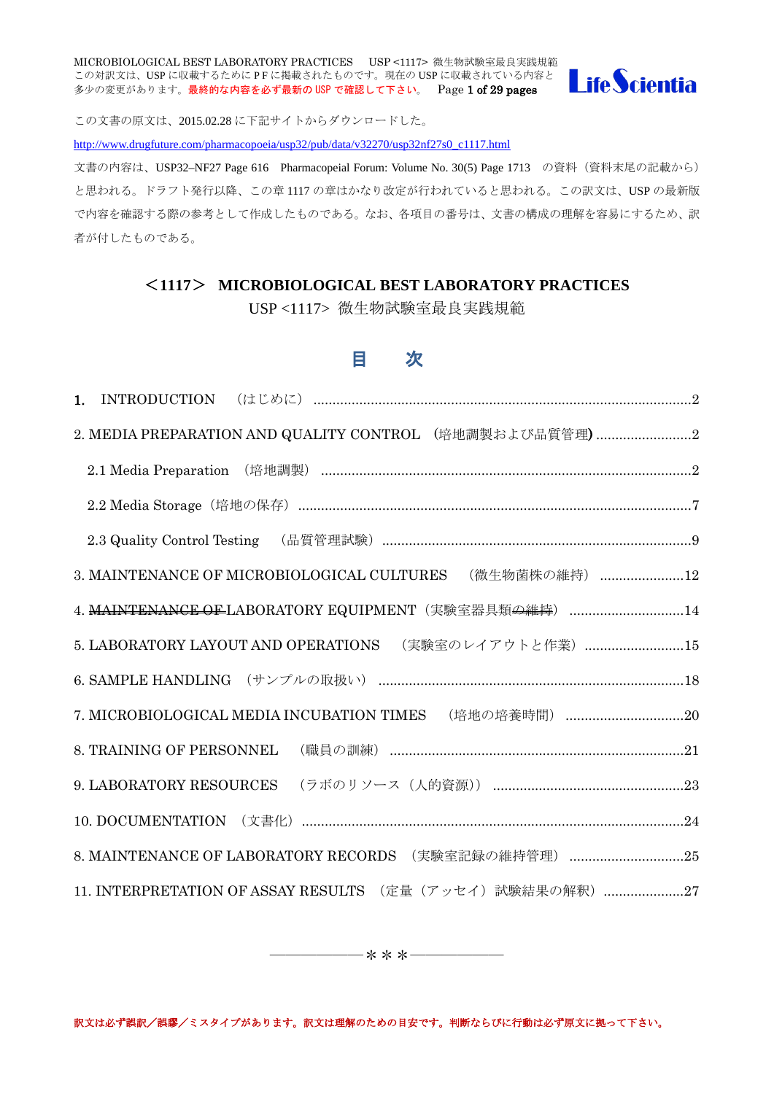MICROBIOLOGICAL BEST LABORATORY PRACTICES USP <1117> 微生物試験室最良実践規範 MICROBIOLOGICAL BEST LABORATONI FRACTIONS ON THE MANY SALE IN STRAIN STRAINS ON THE SOLUTION CONTROL SUPPORTION<br>この対訳文は、USP に収載するために P F に掲載されたものです。現在の USP に収載されている内容と 多少の変更があります。最終的な内容を必ず最新の USP で確認して下さい。 Page 1 of 29 pages



この文書の原文は、2015.02.28 に下記サイトからダウンロードした。 [http://www.drugfuture.com/pharmacopoeia/usp32/pub/data/v32270/usp32nf27s0\\_c1117.html](http://www.drugfuture.com/pharmacopoeia/usp32/pub/data/v32270/usp32nf27s0_c1117.html)

文書の内容は、USP32–NF27 Page 616 Pharmacopeial Forum: Volume No. 30(5) Page 1713 の資料(資料末尾の記載から) と思われる。ドラフト発行以降、この章 1117 の章はかなり改定が行われていると思われる。この訳文は、USP の最新版 で内容を確認する際の参考として作成したものである。なお、各項目の番号は、文書の構成の理解を容易にするため、訳 者が付したものである。

# <**1117**> **MICROBIOLOGICAL BEST LABORATORY PRACTICES**

USP <1117> 微生物試験室最良実践規範

# 目 次

| 2. MEDIA PREPARATION AND QUALITY CONTROL (培地調製および品質管理)2            |
|--------------------------------------------------------------------|
| 2.1 Media Preparation (培地調製) ……………………………………………………………………………………………2  |
|                                                                    |
|                                                                    |
| 3. MAINTENANCE OF MICROBIOLOGICAL CULTURES (微生物菌株の維持) 12           |
| 4. MAINTENANCE OF LABORATORY EQUIPMENT (実験室器具類 <del>の維持</del> ) 14 |
| 5. LABORATORY LAYOUT AND OPERATIONS (実験室のレイアウトと作業) 15              |
|                                                                    |
|                                                                    |
| 8. TRAINING OF PERSONNEL                                           |
|                                                                    |
| 10. DOCUMENTATION (文書化) ……………………………………………………………………………………………24      |
| 8. MAINTENANCE OF LABORATORY RECORDS (実験室記録の維持管理) 25               |
| 11. INTERPRETATION OF ASSAY RESULTS (定量 (アッセイ) 試験結果の解釈) 27         |

――――――\*\*\*――――――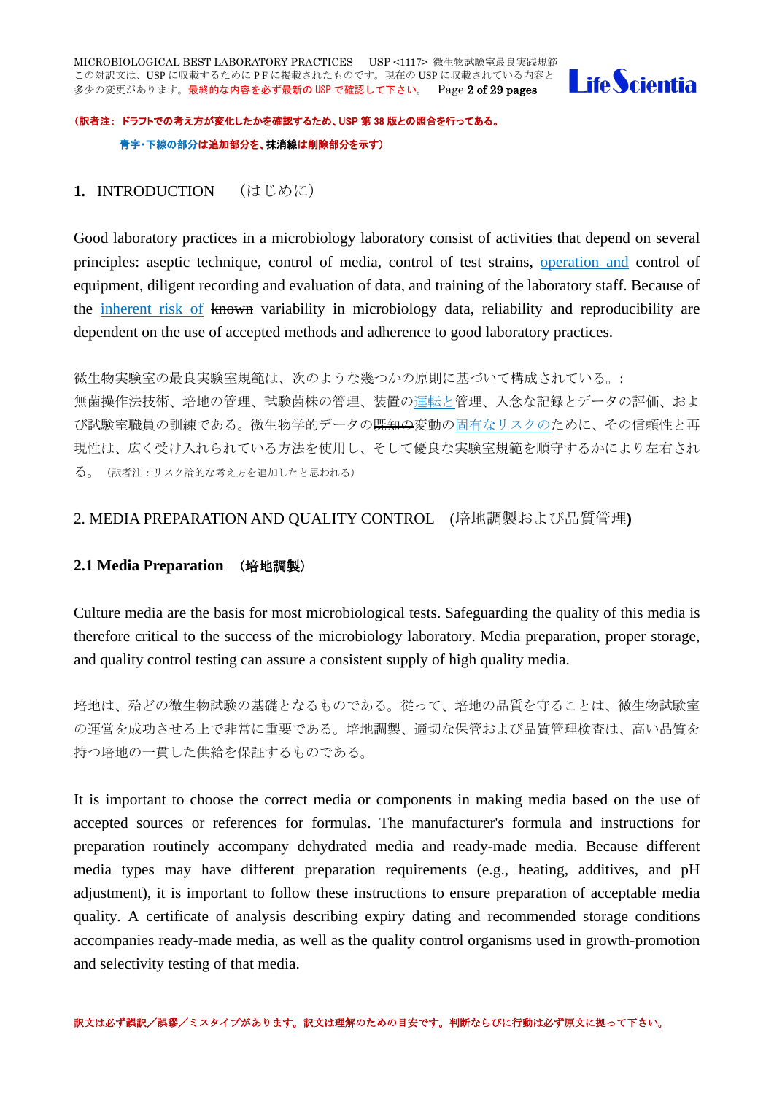

# (訳者注: ドラフトでの考え方が変化したかを確認するため、USP 第 38 版との照合を行ってある。 青字・下線の部分は追加部分を、抹消線は削除部分を示す)

# <span id="page-1-0"></span>**1.** INTRODUCTION (はじめに)

Good laboratory practices in a microbiology laboratory consist of activities that depend on several principles: aseptic technique, control of media, control of test strains, operation and control of equipment, diligent recording and evaluation of data, and training of the laboratory staff. Because of the inherent risk of known variability in microbiology data, reliability and reproducibility are dependent on the use of accepted methods and adherence to good laboratory practices.

微生物実験室の最良実験室規範は、次のような幾つかの原則に基づいて構成されている。: 無菌操作法技術、培地の管理、試験菌株の管理、装置の運転と管理、入念な記録とデータの評価、およ び試験室職員の訓練である。微生物学的データの<del>既知の</del>変動の固有なリスクのために、その信頼性と再 現性は、広く受け入れられている方法を使用し、そして優良な実験室規範を順守するかにより左右され る。(訳者注:リスク論的な考え方を追加したと思われる)

# <span id="page-1-1"></span>2. MEDIA PREPARATION AND QUALITY CONTROL (培地調製および品質管理**)**

# <span id="page-1-2"></span>**2.1 Media Preparation** (培地調製)

Culture media are the basis for most microbiological tests. Safeguarding the quality of this media is therefore critical to the success of the microbiology laboratory. Media preparation, proper storage, and quality control testing can assure a consistent supply of high quality media.

培地は、殆どの微生物試験の基礎となるものである。従って、培地の品質を守ることは、微生物試験室 の運営を成功させる上で非常に重要である。培地調製、適切な保管および品質管理検査は、高い品質を 持つ培地の一貫した供給を保証するものである。

It is important to choose the correct media or components in making media based on the use of accepted sources or references for formulas. The manufacturer's formula and instructions for preparation routinely accompany dehydrated media and ready-made media. Because different media types may have different preparation requirements (e.g., heating, additives, and pH adjustment), it is important to follow these instructions to ensure preparation of acceptable media quality. A certificate of analysis describing expiry dating and recommended storage conditions accompanies ready-made media, as well as the quality control organisms used in growth-promotion and selectivity testing of that media.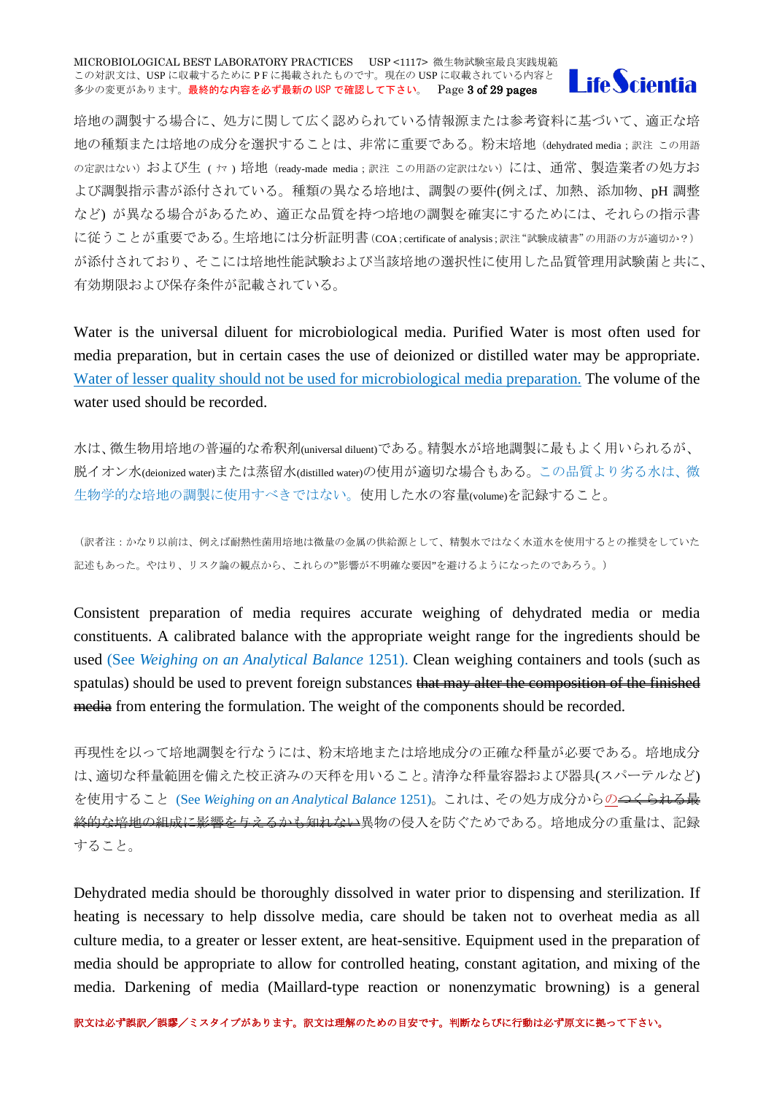#### MICROBIOLOGICAL BEST LABORATORY PRACTICES USP <1117> 微生物試験室最良実践規範 この対訳文は、USP に収載するために PF に掲載されたものです。現在の USP に収載されている内容と 多少の変更があります。最終的な内容を必ず最新の USP で確認して下さい。 Page 3 of 29 pages



培地の調製する場合に、処方に関して広く認められている情報源または参考資料に基づいて、適正な培 地の種類または培地の成分を選択することは、非常に重要である。粉末培地 (dehydrated media;訳注 この用語 の定訳はない)および生 ( ヤ) 培地 (ready-made media : 訳注 この用語の定訳はない)には、通常、製造業者の処方お よび調製指示書が添付されている。種類の異なる培地は、調製の要件(例えば、加熱、添加物、pH 調整 など) が異なる場合があるため、適正な品質を持つ培地の調製を確実にするためには、それらの指示書 に従うことが重要である。生培地には分析証明書(COA;certificate of analysis;訳注"試験成績書"の用語の方が適切か?) が添付されており、そこには培地性能試験および当該培地の選択性に使用した品質管理用試験菌と共に、 有効期限および保存条件が記載されている。

Water is the universal diluent for microbiological media. Purified Water is most often used for media preparation, but in certain cases the use of deionized or distilled water may be appropriate. Water of lesser quality should not be used for microbiological media preparation. The volume of the water used should be recorded.

水は、微生物用培地の普遍的な希釈剤(universal diluent)である。精製水が培地調製に最もよく用いられるが、 脱イオン水(deionized water)または蒸留水(distilled water)の使用が適切な場合もある。この品質より劣る水は、微 生物学的な培地の調製に使用すべきではない。使用した水の容量(volume)を記録すること。

(訳者注:かなり以前は、例えば耐熱性菌用培地は微量の金属の供給源として、精製水ではなく水道水を使用するとの推奨をしていた 記述もあった。やはり、リスク論の観点から、これらの"影響が不明確な要因"を避けるようになったのであろう。)

Consistent preparation of media requires accurate weighing of dehydrated media or media constituents. A calibrated balance with the appropriate weight range for the ingredients should be used (See *Weighing on an Analytical Balance* 1251). Clean weighing containers and tools (such as spatulas) should be used to prevent foreign substances that may alter the composition of the finished media from entering the formulation. The weight of the components should be recorded.

再現性を以って培地調製を行なうには、粉末培地または培地成分の正確な秤量が必要である。培地成分 は、適切な秤量範囲を備えた校正済みの天秤を用いること。清浄な秤量容器および器具(スパーテルなど) を使用すること (See *Weighing on an Analytical Balance* 1251)。これは、その処方成分からの<del>つくられる最</del> 終的な培地の組成に影響を与えるかも知れない異物の侵入を防ぐためである。培地成分の重量は、記録 すること。

Dehydrated media should be thoroughly dissolved in water prior to dispensing and sterilization. If heating is necessary to help dissolve media, care should be taken not to overheat media as all culture media, to a greater or lesser extent, are heat-sensitive. Equipment used in the preparation of media should be appropriate to allow for controlled heating, constant agitation, and mixing of the media. Darkening of media (Maillard-type reaction or nonenzymatic browning) is a general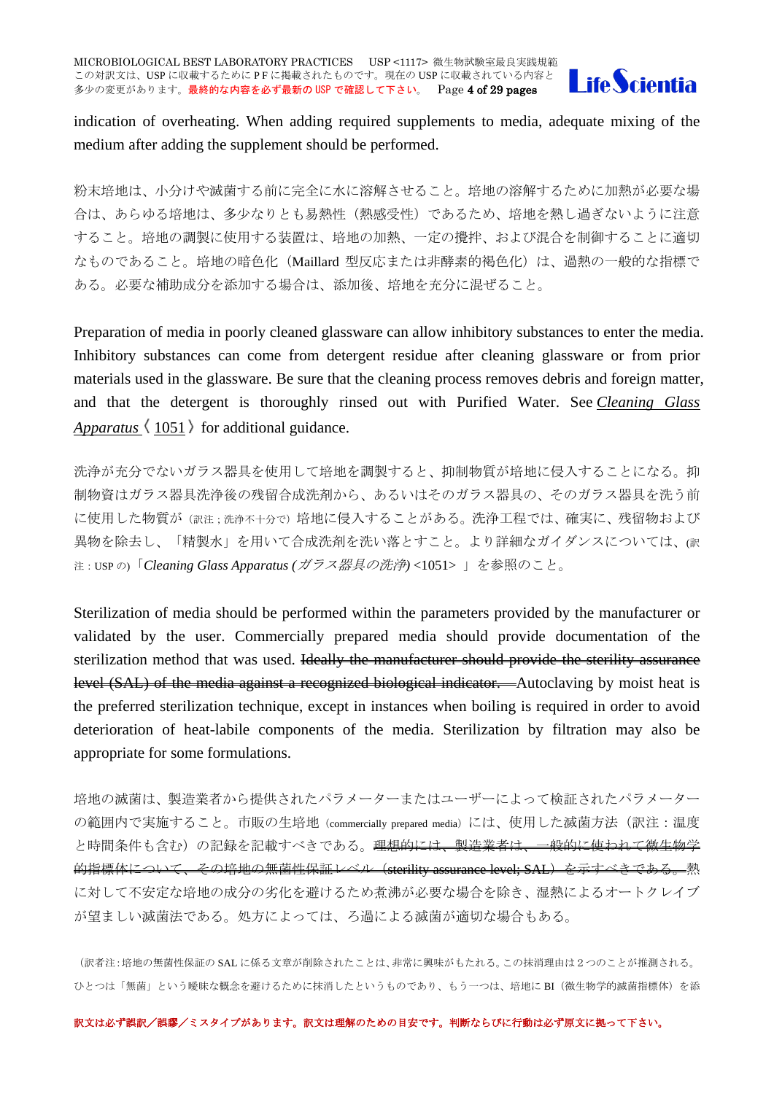

indication of overheating. When adding required supplements to media, adequate mixing of the medium after adding the supplement should be performed.

粉末培地は、小分けや滅菌する前に完全に水に溶解させること。培地の溶解するために加熱が必要な場 合は、あらゆる培地は、多少なりとも易熱性(熱感受性)であるため、培地を熱し過ぎないように注意 すること。培地の調製に使用する装置は、培地の加熱、一定の攪拌、および混合を制御することに適切 なものであること。培地の暗色化(Maillard 型反応または非酵素的褐色化)は、過熱の一般的な指標で ある。必要な補助成分を添加する場合は、添加後、培地を充分に混ぜること。

Preparation of media in poorly cleaned glassware can allow inhibitory substances to enter the media. Inhibitory substances can come from detergent residue after cleaning glassware or from prior materials used in the glassware. Be sure that the cleaning process removes debris and foreign matter, and that the detergent is thoroughly rinsed out with Purified Water. See *[Cleaning Glass](http://www.drugfuture.com/pharmacopoeia/usp32/pub/data/v32270/usp32nf27s0_c1051.html#usp32nf27s0_c1051)  [Apparatus](http://www.drugfuture.com/pharmacopoeia/usp32/pub/data/v32270/usp32nf27s0_c1051.html#usp32nf27s0_c1051)*  $\langle 1051 \rangle$  for additional guidance.

洗浄が充分でないガラス器具を使用して培地を調製すると、抑制物質が培地に侵入することになる。抑 制物資はガラス器具洗浄後の残留合成洗剤から、あるいはそのガラス器具の、そのガラス器具を洗う前 に使用した物質が(訳注;洗浄不十分で)培地に侵入することがある。洗浄工程では、確実に、残留物および 異物を除去し、「精製水」を用いて合成洗剤を洗い落とすこと。より詳細なガイダンスについては、(訳 注:USP <sup>の</sup>)「*Cleaning Glass Apparatus (*ガラス器具の洗浄*)* <1051> 」を参照のこと。

Sterilization of media should be performed within the parameters provided by the manufacturer or validated by the user. Commercially prepared media should provide documentation of the sterilization method that was used. Hevelly the manufacturer should provide the sterility assurance level (SAL) of the media against a recognized biological indicator.—Autoclaving by moist heat is the preferred sterilization technique, except in instances when boiling is required in order to avoid deterioration of heat-labile components of the media. Sterilization by filtration may also be appropriate for some formulations.

培地の滅菌は、製造業者から提供されたパラメーターまたはユーザーによって検証されたパラメーター の範囲内で実施すること。市販の生培地 (commercially prepared media) には、使用した滅菌方法(訳注:温度 と時間条件も含む)の記録を記載すべきである。<del>理想的には、製造業者は、一般的に使われて微生物学</del> 的指標体について、その培地の無菌性保証レベル (sterility assurance level; SAL) を示すべきである。熱 に対して不安定な培地の成分の劣化を避けるため煮沸が必要な場合を除き、湿熱によるオートクレイブ が望ましい滅菌法である。処方によっては、ろ過による滅菌が適切な場合もある。

(訳者注:培地の無菌性保証の SAL に係る文章が削除されたことは、非常に興味がもたれる。この抹消理由は2つのことが推測される。 ひとつは「無菌」という曖昧な概念を避けるために抹消したというものであり、もう一つは、培地に BI(微生物学的滅菌指標体)を添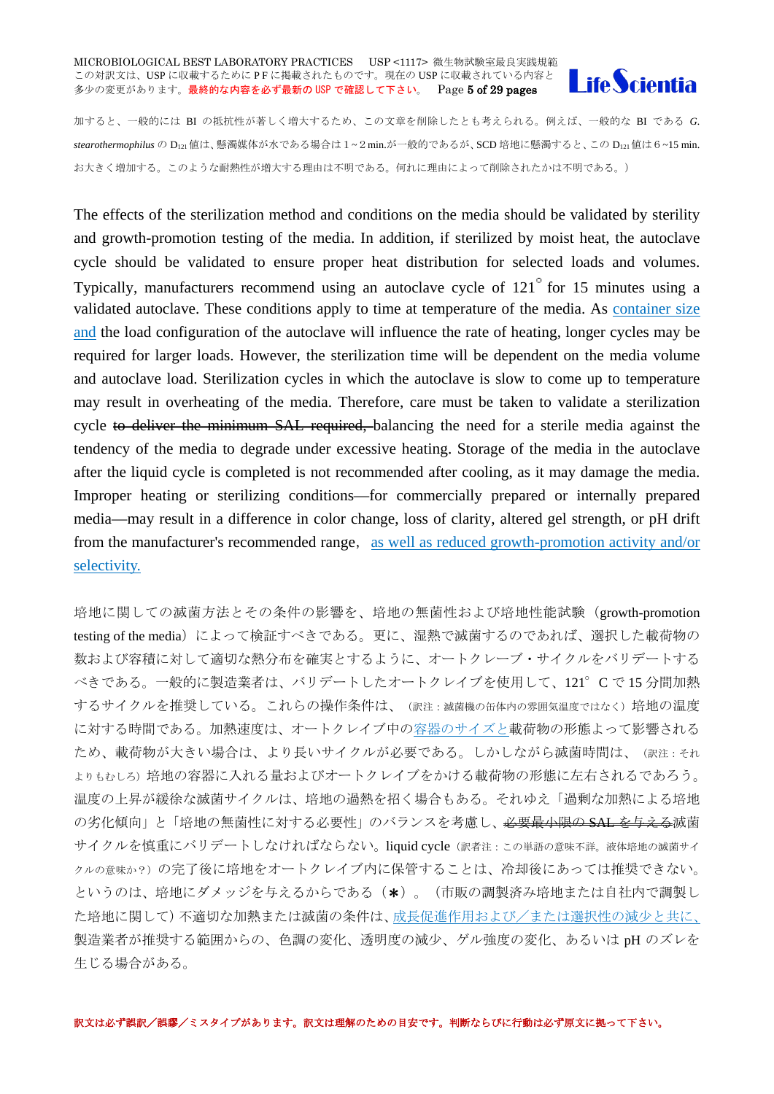#### MICROBIOLOGICAL BEST LABORATORY PRACTICES USP <1117> 微生物試験室最良実践規範 この対訳文は、USP に収載するために PF に掲載されたものです。現在の USP に収載されている内容と 多少の変更があります。最終的な内容を必ず最新の USP で確認して下さい。 Page 5 of 29 pages



加すると、一般的には BI の抵抗性が著しく増大するため、この文章を削除したとも考えられる。例えば、一般的な BI である *G.*  stearothermophilus の D<sub>121</sub>値は、懸濁媒体が水である場合は 1~2 min.が一般的であるが、SCD 培地に懸濁すると、この D<sub>121</sub>値は 6~15 min. お大きく増加する。このような耐熱性が増大する理由は不明である。何れに理由によって削除されたかは不明である。)

The effects of the sterilization method and conditions on the media should be validated by sterility and growth-promotion testing of the media. In addition, if sterilized by moist heat, the autoclave cycle should be validated to ensure proper heat distribution for selected loads and volumes. Typically, manufacturers recommend using an autoclave cycle of  $121^\circ$  for 15 minutes using a validated autoclave. These conditions apply to time at temperature of the media. As container size and the load configuration of the autoclave will influence the rate of heating, longer cycles may be required for larger loads. However, the sterilization time will be dependent on the media volume and autoclave load. Sterilization cycles in which the autoclave is slow to come up to temperature may result in overheating of the media. Therefore, care must be taken to validate a sterilization cycle to deliver the minimum SAL required, balancing the need for a sterile media against the tendency of the media to degrade under excessive heating. Storage of the media in the autoclave after the liquid cycle is completed is not recommended after cooling, as it may damage the media. Improper heating or sterilizing conditions—for commercially prepared or internally prepared media—may result in a difference in color change, loss of clarity, altered gel strength, or pH drift from the manufacturer's recommended range, as well as reduced growth-promotion activity and/or selectivity.

培地に関しての滅菌方法とその条件の影響を、培地の無菌性および培地性能試験(growth-promotion testing of the media)によって検証すべきである。更に、湿熱で滅菌するのであれば、選択した載荷物の 数および容積に対して適切な熱分布を確実とするように、オートクレーブ・サイクルをバリデートする べきである。一般的に製造業者は、バリデートしたオートクレイブを使用して、121°C で 15 分間加熱 するサイクルを推奨している。これらの操作条件は、(訳注:滅菌機の缶体内の雰囲気温度ではなく)培地の温度 に対する時間である。加熱速度は、オートクレイブ中の容器のサイズと載荷物の形態よって影響される ため、載荷物が大きい場合は、より長いサイクルが必要である。しかしながら滅菌時間は、(訳注:それ よりもむしろ)培地の容器に入れる量およびオートクレイブをかける載荷物の形態に左右されるであろう。 温度の上昇が緩徐な滅菌サイクルは、培地の過熱を招く場合もある。それゆえ「過剰な加熱による培地 の劣化傾向」と「培地の無菌性に対する必要性」のバランスを考慮し、<del>必要最小限の SAL を与える</del>滅菌 サイクルを慎重にバリデートしなければならない。liquid cycle(訳者注:この単語の意味不詳。液体培地の滅菌サイ クルの意味か?)の完了後に培地をオートクレイブ内に保管することは、冷却後にあっては推奨できない。 というのは、培地にダメッジを与えるからである(\*)。(市販の調製済み培地または自社内で調製し た培地に関して)不適切な加熱または滅菌の条件は、成長促進作用および/または選択性の減少と共に、 製造業者が推奨する範囲からの、色調の変化、透明度の減少、ゲル強度の変化、あるいは pH のズレを 生じる場合がある。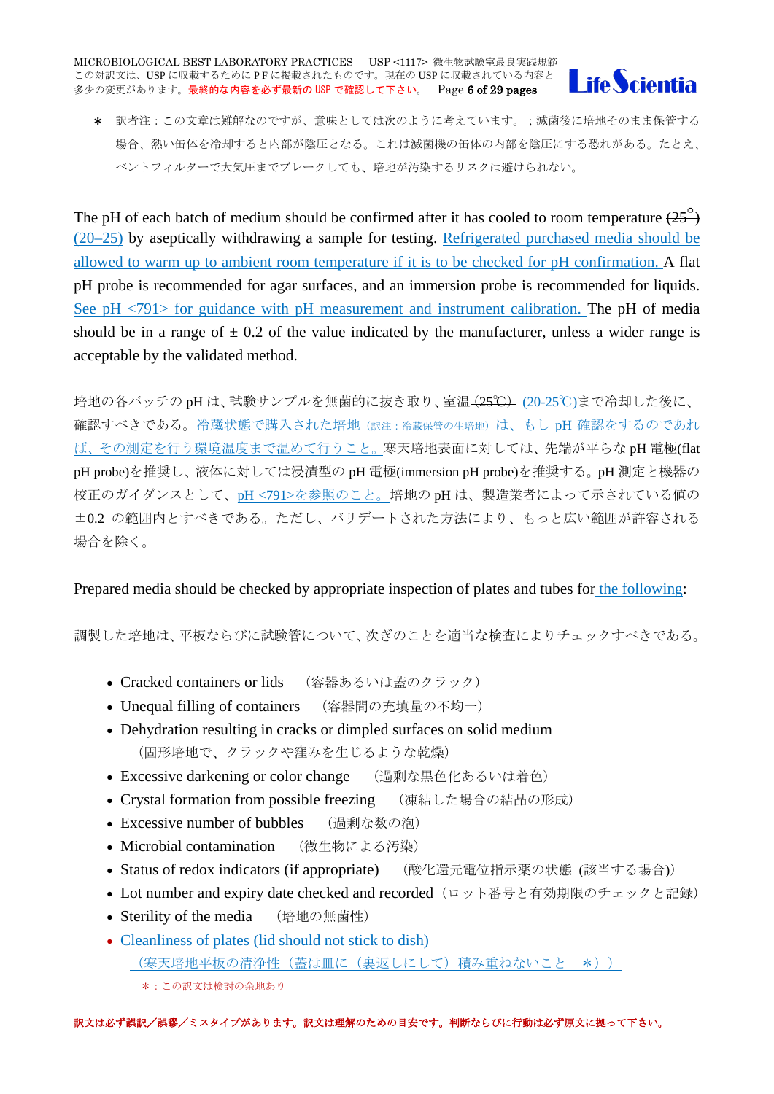

\* 訳者注:この文章は難解なのですが、意味としては次のように考えています。;滅菌後に培地そのまま保管する 場合、熱い缶体を冷却すると内部が陰圧となる。これは滅菌機の缶体の内部を陰圧にする恐れがある。たとえ、 ベントフィルターで大気圧までブレークしても、培地が汚染するリスクは避けられない。

The pH of each batch of medium should be confirmed after it has cooled to room temperature  $(25^\circ)$ (20–25) by aseptically withdrawing a sample for testing. Refrigerated purchased media should be allowed to warm up to ambient room temperature if it is to be checked for pH confirmation. A flat pH probe is recommended for agar surfaces, and an immersion probe is recommended for liquids. See pH <791> for guidance with pH measurement and instrument calibration. The pH of media should be in a range of  $\pm$  0.2 of the value indicated by the manufacturer, unless a wider range is acceptable by the validated method.

培地の各バッチの pH は、試験サンプルを無菌的に抜き取り、室温 (25℃) (20-25℃)まで冷却した後に、 確認すべきである。冷蔵状態で購入された培地(訳注:冷蔵保管の生培地)は、もし pH 確認をするのであれ ば、その測定を行う環境温度まで温めて行うこと。寒天培地表面に対しては、先端が平らな pH 電極(flat pH probe)を推奨し、液体に対しては浸漬型の pH 電極(immersion pH probe)を推奨する。pH 測定と機器の 校正のガイダンスとして、pH <791>を参照のこと。培地の pH は、製造業者によって示されている値の ±0.2 の範囲内とすべきである。ただし、バリデートされた方法により、もっと広い範囲が許容される 場合を除く。

# Prepared media should be checked by appropriate inspection of plates and tubes for the following:

調製した培地は、平板ならびに試験管について、次ぎのことを適当な検査によりチェックすべきである。

- Cracked containers or lids (容器あるいは蓋のクラック)
- Unequal filling of containers (容器間の充填量の不均一)
- Dehydration resulting in cracks or dimpled surfaces on solid medium (固形培地で、クラックや窪みを生じるような乾燥)
- Excessive darkening or color change (過剰な黒色化あるいは着色)
- Crystal formation from possible freezing (凍結した場合の結晶の形成)
- Excessive number of bubbles (過剰な数の泡)
- Microbial contamination (微生物による汚染)
- Status of redox indicators (if appropriate) (酸化還元電位指示薬の状態 (該当する場合))
- Lot number and expiry date checked and recorded (ロット番号と有効期限のチェックと記録)
- Sterility of the media (培地の無菌性)
- Cleanliness of plates (lid should not stick to dish) (寒天培地平板の清浄性(蓋は皿に(裏返しにして)積み重ねないこと \*))
	- \*:この訳文は検討の余地あり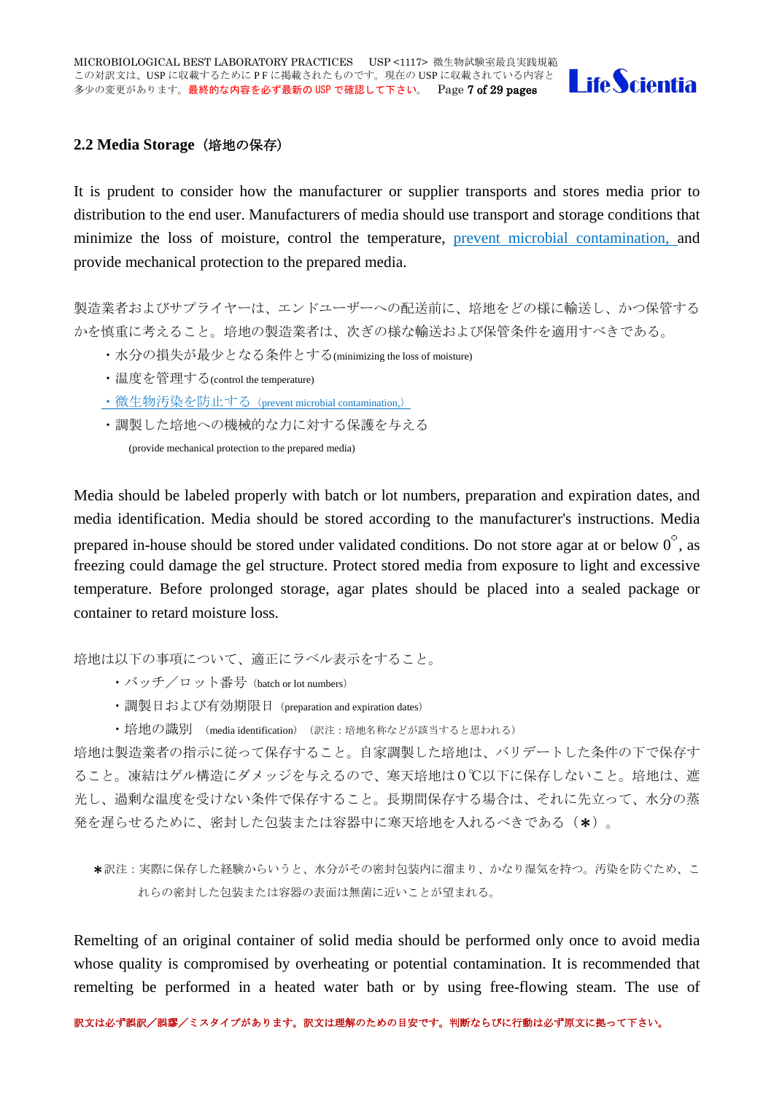

#### <span id="page-6-0"></span>**2.2 Media Storage**(培地の保存)

It is prudent to consider how the manufacturer or supplier transports and stores media prior to distribution to the end user. Manufacturers of media should use transport and storage conditions that minimize the loss of moisture, control the temperature, prevent microbial contamination, and provide mechanical protection to the prepared media.

製造業者およびサプライヤーは、エンドユーザーへの配送前に、培地をどの様に輸送し、かつ保管する かを慎重に考えること。培地の製造業者は、次ぎの様な輸送および保管条件を適用すべきである。

- ・水分の損失が最少となる条件とする(minimizing the loss of moisture)
- ・温度を管理する(control the temperature)
- ・微生物汚染を防止する(prevent microbial contamination,)
- ・調製した培地への機械的な力に対する保護を与える

(provide mechanical protection to the prepared media)

Media should be labeled properly with batch or lot numbers, preparation and expiration dates, and media identification. Media should be stored according to the manufacturer's instructions. Media prepared in-house should be stored under validated conditions. Do not store agar at or below  $0^{\circ}$ , as freezing could damage the gel structure. Protect stored media from exposure to light and excessive temperature. Before prolonged storage, agar plates should be placed into a sealed package or container to retard moisture loss.

培地は以下の事項について、適正にラベル表示をすること。

- ・バッチ/ロット番号(batch or lot numbers)
- ・調製日および有効期限日(preparation and expiration dates)
- ・培地の識別 (media identification) (訳注:培地名称などが該当すると思われる)

培地は製造業者の指示に従って保存すること。自家調製した培地は、バリデートした条件の下で保存す ること。凍結はゲル構造にダメッジを与えるので、寒天培地は0℃以下に保存しないこと。培地は、遮 光し、過剰な温度を受けない条件で保存すること。長期間保存する場合は、それに先立って、水分の蒸 発を遅らせるために、密封した包装または容器中に寒天培地を入れるべきである(\*)。

\*訳注:実際に保存した経験からいうと、水分がその密封包装内に溜まり、かなり湿気を持つ。汚染を防ぐため、こ れらの密封した包装または容器の表面は無菌に近いことが望まれる。

Remelting of an original container of solid media should be performed only once to avoid media whose quality is compromised by overheating or potential contamination. It is recommended that remelting be performed in a heated water bath or by using free-flowing steam. The use of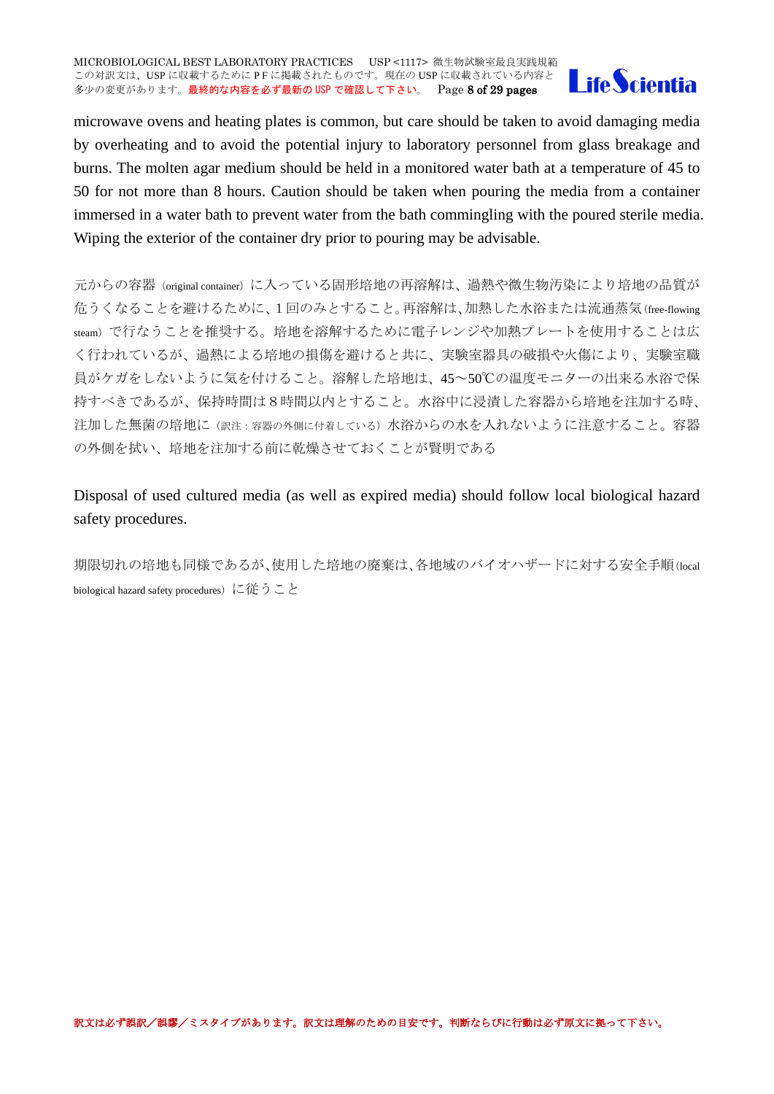

microwave ovens and heating plates is common, but care should be taken to avoid damaging media by overheating and to avoid the potential injury to laboratory personnel from glass breakage and burns. The molten agar medium should be held in a monitored water bath at a temperature of 45 to 50 for not more than 8 hours. Caution should be taken when pouring the media from a container immersed in a water bath to prevent water from the bath commingling with the poured sterile media. Wiping the exterior of the container dry prior to pouring may be advisable.

元からの容器(original container)に入っている固形培地の再溶解は、過熱や微生物汚染により培地の品質が 危うくなることを避けるために、1回のみとすること。再溶解は、加熱した水浴または流通蒸気(free-flowing steam)で行なうことを推奨する。培地を溶解するために電子レンジや加熱プレートを使用することは広 く行われているが、過熱による培地の損傷を避けると共に、実験室器具の破損や火傷により、実験室職 員がケガをしないように気を付けること。溶解した培地は、45~50℃の温度モニターの出来る水浴で保 持すべきであるが、保持時間は8時間以内とすること。水浴中に浸漬した容器から培地を注加する時、 注加した無菌の培地に(訳注:容器の外側に付着している)水浴からの水を入れないように注意すること。容器 の外側を拭い、培地を注加する前に乾燥させておくことが賢明である

Disposal of used cultured media (as well as expired media) should follow local biological hazard safety procedures.

期限切れの培地も同様であるが、使用した培地の廃棄は、各地域のバイオハザードに対する安全手順(local biological hazard safety procedures)に従うこと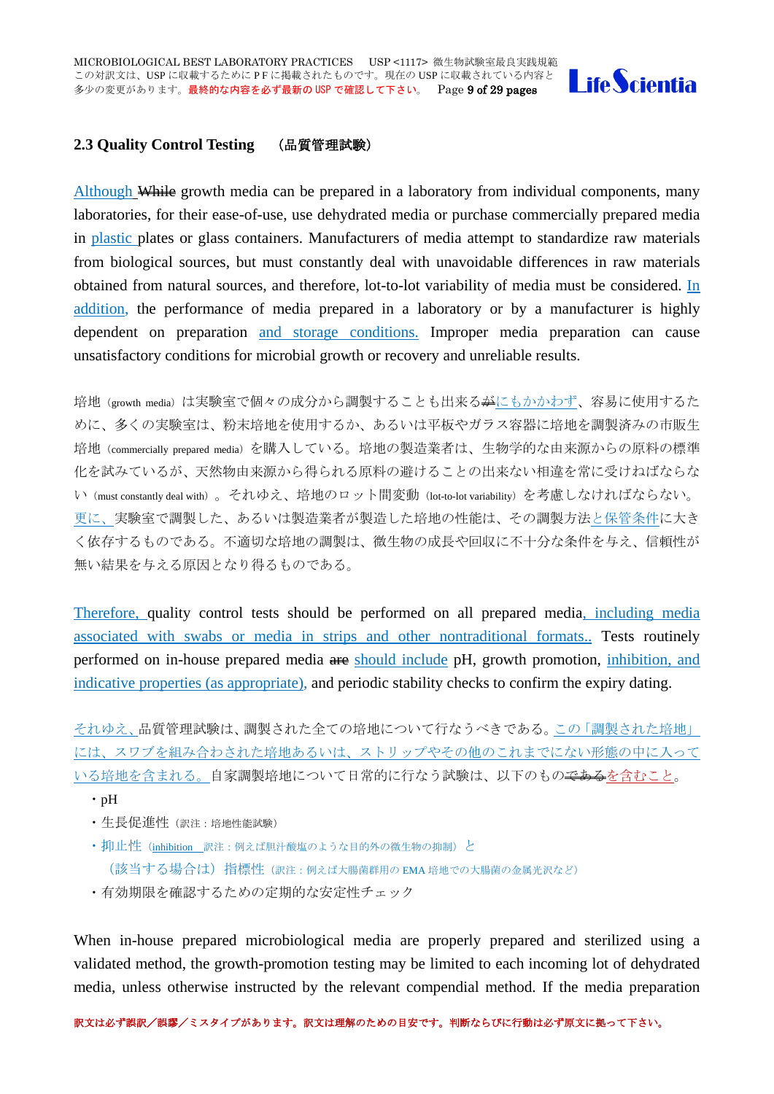

### <span id="page-8-0"></span>**2.3 Quality Control Testing** (品質管理試験)

Although While growth media can be prepared in a laboratory from individual components, many laboratories, for their ease-of-use, use dehydrated media or purchase commercially prepared media in plastic plates or glass containers. Manufacturers of media attempt to standardize raw materials from biological sources, but must constantly deal with unavoidable differences in raw materials obtained from natural sources, and therefore, lot-to-lot variability of media must be considered. In addition, the performance of media prepared in a laboratory or by a manufacturer is highly dependent on preparation and storage conditions. Improper media preparation can cause unsatisfactory conditions for microbial growth or recovery and unreliable results.

培地(growth media)は実験室で個々の成分から調製することも出来る<del>が</del>にもかかわず、容易に使用するた めに、多くの実験室は、粉末培地を使用するか、あるいは平板やガラス容器に培地を調製済みの市販生 培地(commercially prepared media)を購入している。培地の製造業者は、生物学的な由来源からの原料の標準 化を試みているが、天然物由来源から得られる原料の避けることの出来ない相違を常に受けねばならな い(must constantly deal with)。それゆえ、培地のロット間変動(lot-to-lot variability)を考慮しなければならない。 更に、実験室で調製した、あるいは製造業者が製造した培地の性能は、その調製方法と保管条件に大き く依存するものである。不適切な培地の調製は、微生物の成長や回収に不十分な条件を与え、信頼性が 無い結果を与える原因となり得るものである。

Therefore, quality control tests should be performed on all prepared media, including media associated with swabs or media in strips and other nontraditional formats.. Tests routinely performed on in-house prepared media are should include pH, growth promotion, inhibition, and indicative properties (as appropriate), and periodic stability checks to confirm the expiry dating.

それゆえ、品質管理試験は、調製された全ての培地について行なうべきである。この「調製された培地」 には、スワブを組み合わされた培地あるいは、ストリップやその他のこれまでにない形態の中に入って いる培地を含まれる。自家調製培地について日常的に行なう試験は、以下のもの<del>である</del>を含むこと。

- ・pH
- ・生長促進性(訳注:培地性能試験)
- ・ 抑止性(inhibition 訳注:例えば胆汁酸塩のような目的外の微生物の抑制)と (該当する場合は) 指標性(訳注:例えば大腸菌群用の EMA 培地での大腸菌の金属光沢など)
- ・有効期限を確認するための定期的な安定性チェック

When in-house prepared microbiological media are properly prepared and sterilized using a validated method, the growth-promotion testing may be limited to each incoming lot of dehydrated media, unless otherwise instructed by the relevant compendial method. If the media preparation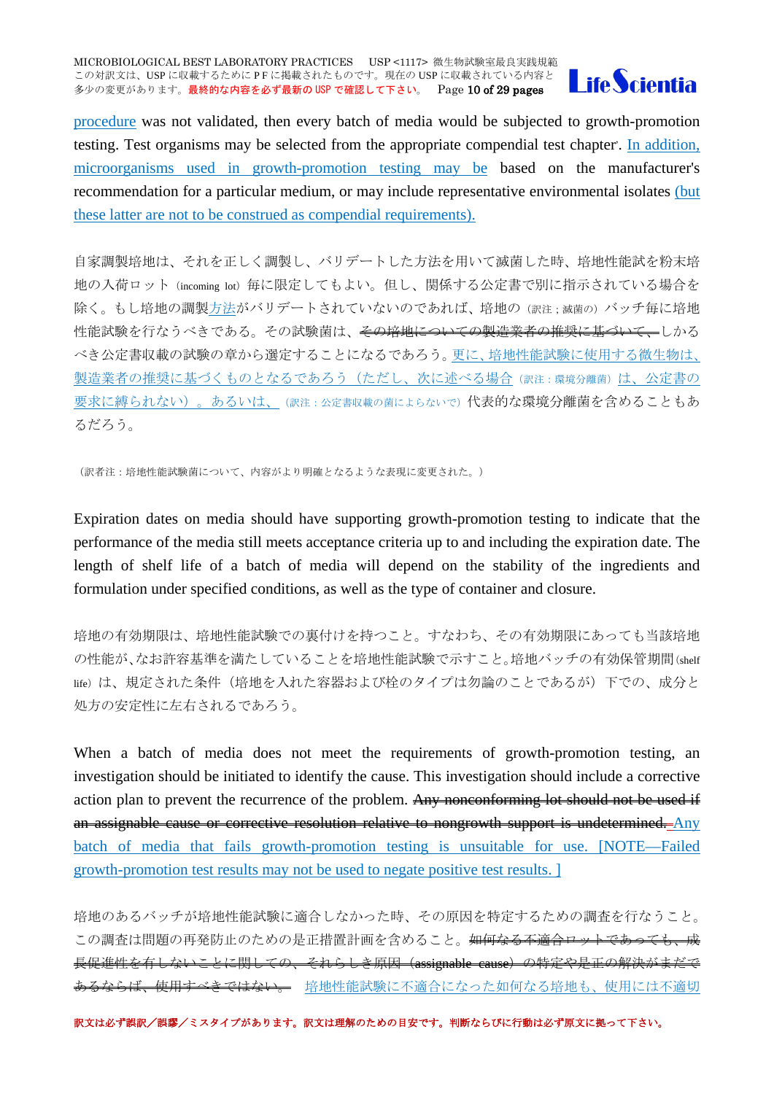

procedure was not validated, then every batch of media would be subjected to growth-promotion testing. Test organisms may be selected from the appropriate compendial test chapter. In addition, microorganisms used in growth-promotion testing may be based on the manufacturer's recommendation for a particular medium, or may include representative environmental isolates (but these latter are not to be construed as compendial requirements).

自家調製培地は、それを正しく調製し、バリデートした方法を用いて滅菌した時、培地性能試を粉末培 地の入荷ロット (incoming lot) 毎に限定してもよい。但し、関係する公定書で別に指示されている場合を 除く。もし培地の調製方法がバリデートされていないのであれば、培地の(訳注:滅菌の)バッチ毎に培地 性能試験を行なうべきである。その試験菌は、その培地についての製造業者の推奨に基づいて、しかる べき公定書収載の試験の章から選定することになるであろう。更に、培地性能試験に使用する微生物は、 製造業者の推奨に基づくものとなるであろう(ただし、次に述べる場合(訳注:環境分離菌)は、公定書の 要求に縛られない)。あるいは、(訳注:公定書収載の菌によらないで)代表的な環境分離菌を含めることもあ るだろう。

(訳者注:培地性能試験菌について、内容がより明確となるような表現に変更された。)

Expiration dates on media should have supporting growth-promotion testing to indicate that the performance of the media still meets acceptance criteria up to and including the expiration date. The length of shelf life of a batch of media will depend on the stability of the ingredients and formulation under specified conditions, as well as the type of container and closure.

培地の有効期限は、培地性能試験での裏付けを持つこと。すなわち、その有効期限にあっても当該培地 の性能が、なお許容基準を満たしていることを培地性能試験で示すこと。培地バッチの有効保管期間(shelf life)は、規定された条件(培地を入れた容器および栓のタイプは勿論のことであるが)下での、成分と 処方の安定性に左右されるであろう。

When a batch of media does not meet the requirements of growth-promotion testing, an investigation should be initiated to identify the cause. This investigation should include a corrective action plan to prevent the recurrence of the problem. Any nonconforming lot should not be used if an assignable cause or corrective resolution relative to nongrowth support is undetermined. Any batch of media that fails growth-promotion testing is unsuitable for use. [NOTE—Failed growth-promotion test results may not be used to negate positive test results. ]

培地のあるバッチが培地性能試験に適合しなかった時、その原因を特定するための調査を行なうこと。 この調査は問題の再発防止のための是正措置計画を含めること。<del>如何なる不適合ロットであっても、成</del> 長促進性を有しないことに関しての、それらしき原因 (assignable cause) の特定や是正の解決がまだで るならば、使用すべきではない。 培地性能試験に不適合になった如何なる培地も、使用には不適切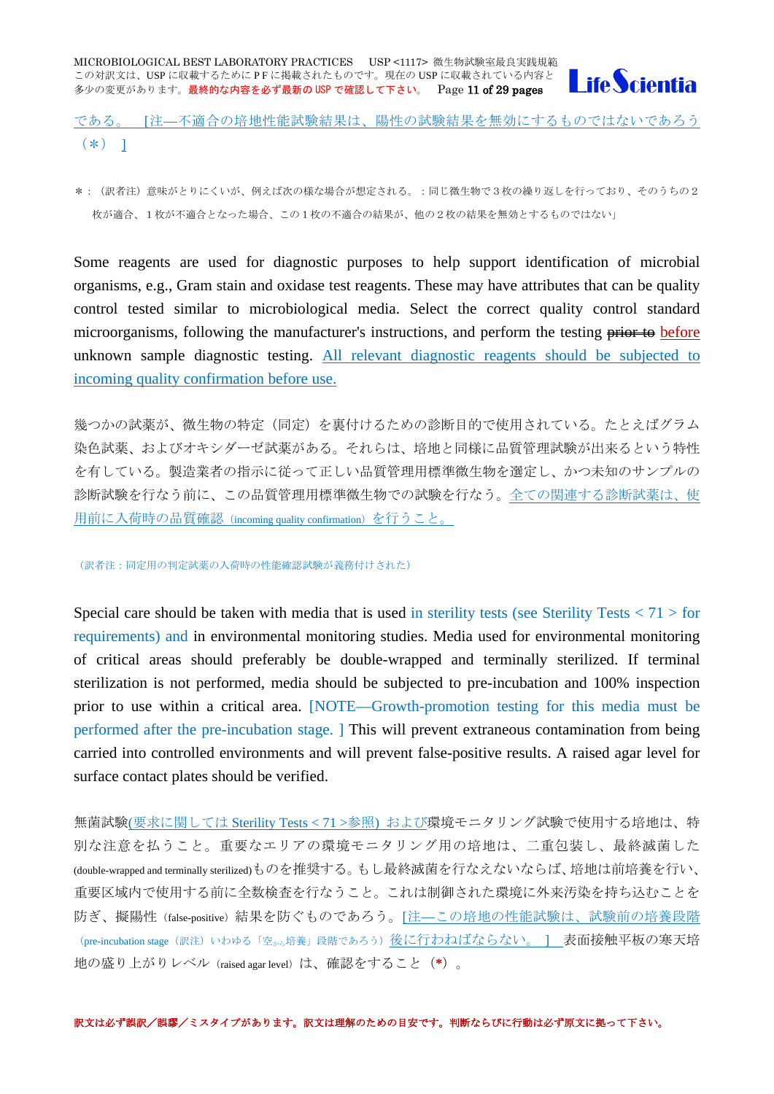

である。 [注—不適合の培地性能試験結果は、陽性の試験結果を無効にするものではないであろう  $(*) 1$ 

\*:(訳者注)意味がとりにくいが、例えば次の様な場合が想定される。:同じ微生物で3枚の繰り返しを行っており、そのうちの2 枚が適合、1枚が不適合となった場合、この1枚の不適合の結果が、他の2枚の結果を無効とするものではない」

Some reagents are used for diagnostic purposes to help support identification of microbial organisms, e.g., Gram stain and oxidase test reagents. These may have attributes that can be quality control tested similar to microbiological media. Select the correct quality control standard microorganisms, following the manufacturer's instructions, and perform the testing prior to before unknown sample diagnostic testing. All relevant diagnostic reagents should be subjected to incoming quality confirmation before use.

幾つかの試薬が、微生物の特定(同定)を裏付けるための診断目的で使用されている。たとえばグラム 染色試薬、およびオキシダーゼ試薬がある。それらは、培地と同様に品質管理試験が出来るという特性 を有している。製造業者の指示に従って正しい品質管理用標準微生物を選定し、かつ未知のサンプルの 診断試験を行なう前に、この品質管理用標準微生物での試験を行なう。全ての関連する診断試薬は、使 用前に入荷時の品質確認(incoming quality confirmation)を行うこと。

(訳者注:同定用の判定試薬の入荷時の性能確認試験が義務付けされた)

Special care should be taken with media that is used in sterility tests (see Sterility Tests  $\langle 71 \rangle$  for requirements) and in environmental monitoring studies. Media used for environmental monitoring of critical areas should preferably be double-wrapped and terminally sterilized. If terminal sterilization is not performed, media should be subjected to pre-incubation and 100% inspection prior to use within a critical area. [NOTE—Growth-promotion testing for this media must be performed after the pre-incubation stage. ] This will prevent extraneous contamination from being carried into controlled environments and will prevent false-positive results. A raised agar level for surface contact plates should be verified.

無菌試験(要求に関しては Sterility Tests < 71 >参照) および環境モニタリング試験で使用する培地は、特 別な注意を払うこと。重要なエリアの環境モニタリング用の培地は、二重包装し、最終滅菌した (double-wrapped and terminally sterilized)ものを推奨する。もし最終滅菌を行なえないならば、培地は前培養を行い、 重要区域内で使用する前に全数検査を行なうこと。これは制御された環境に外来汚染を持ち込むことを 防ぎ、擬陽性(false-positive)結果を防ぐものであろう。[注—この培地の性能試験は、試験前の培養段階 (pre-incubation stage (訳注) いわゆる「空から培養」段階であろう)後に行わねばならない。 ] 表面接触平板の寒天培 地の盛り上がりレベル(raised agar level)は、確認をすること(**\***)。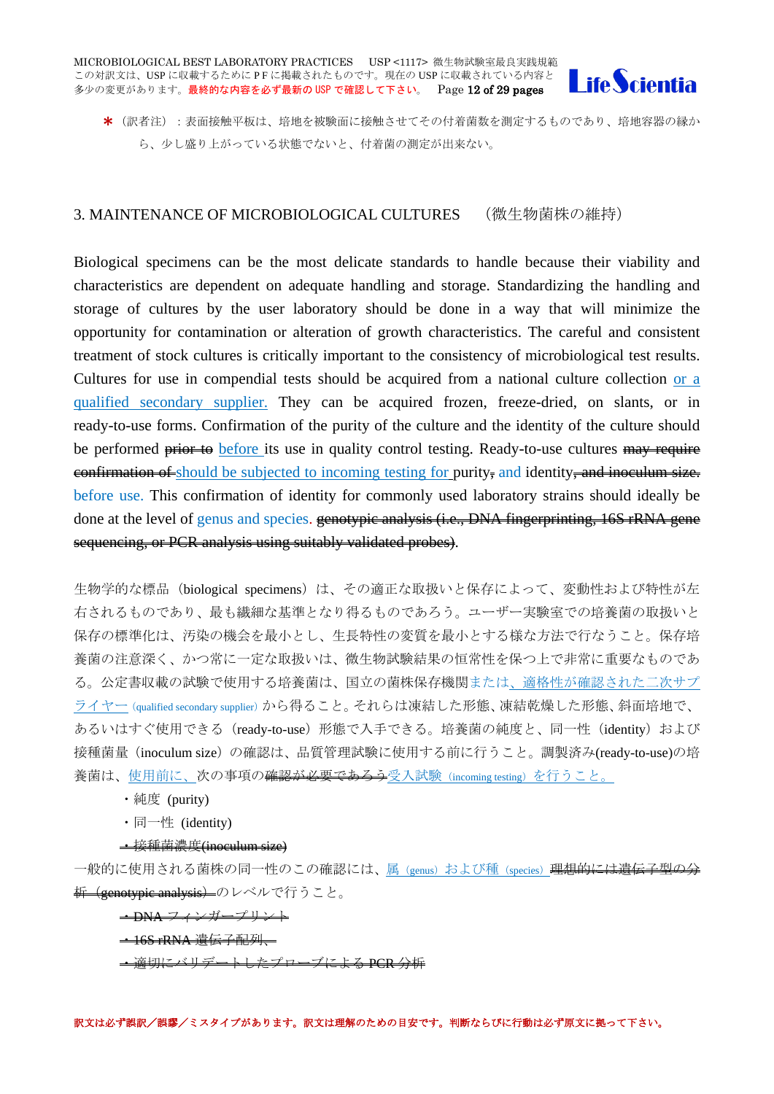

\* (訳者注):表面接触平板は、培地を被験面に接触させてその付着菌数を測定するものであり、培地容器の縁か ら、少し盛り上がっている状態でないと、付着菌の測定が出来ない。

# <span id="page-11-0"></span>3. MAINTENANCE OF MICROBIOLOGICAL CULTURES (微生物菌株の維持)

Biological specimens can be the most delicate standards to handle because their viability and characteristics are dependent on adequate handling and storage. Standardizing the handling and storage of cultures by the user laboratory should be done in a way that will minimize the opportunity for contamination or alteration of growth characteristics. The careful and consistent treatment of stock cultures is critically important to the consistency of microbiological test results. Cultures for use in compendial tests should be acquired from a national culture collection or a qualified secondary supplier. They can be acquired frozen, freeze-dried, on slants, or in ready-to-use forms. Confirmation of the purity of the culture and the identity of the culture should be performed **prior to** before its use in quality control testing. Ready-to-use cultures may require eonfirmation of should be subjected to incoming testing for purity, and identity, and inoculum size. before use. This confirmation of identity for commonly used laboratory strains should ideally be done at the level of genus and species. genotypic analysis (i.e., DNA fingerprinting, 16S rRNA gene sequencing, or PCR analysis using suitably validated probes).

生物学的な標品 (biological specimens) は、その適正な取扱いと保存によって、変動性および特性が左 右されるものであり、最も繊細な基準となり得るものであろう。ユーザー実験室での培養菌の取扱いと 保存の標準化は、汚染の機会を最小とし、生長特性の変質を最小とする様な方法で行なうこと。保存培 養菌の注意深く、かつ常に一定な取扱いは、微生物試験結果の恒常性を保つ上で非常に重要なものであ る。公定書収載の試験で使用する培養菌は、国立の菌株保存機関または、適格性が確認された二次サプ ライヤー (qualified secondary supplier)から得ること。それらは凍結した形態、凍結乾燥した形態、斜面培地で、 あるいはすぐ使用できる (ready-to-use) 形態で入手できる。培養菌の純度と、同一性 (identity) および 接種菌量(inoculum size)の確認は、品質管理試験に使用する前に行うこと。調製済み(ready-to-use)の培 養菌は、使用前に、次の事項の<del>確認が必要であろう</del>受入試験 (incoming testing) を行うこと。

- ・純度 (purity)
- ・同一性 (identity)

#### ・接種菌濃度(inoculum size)

一般的に使用される菌株の同一性のこの確認には、<u>属(genus)および種(species)<mark>理想的には遺伝子</mark>型の</u> <del>析(genotypic analysis)</del>のレベルで行うこと。

・DNA フィンガープリント

#### - 16S rRNA 遺伝子配列 -

・適切にバリデートしたプローブによる PCR 分析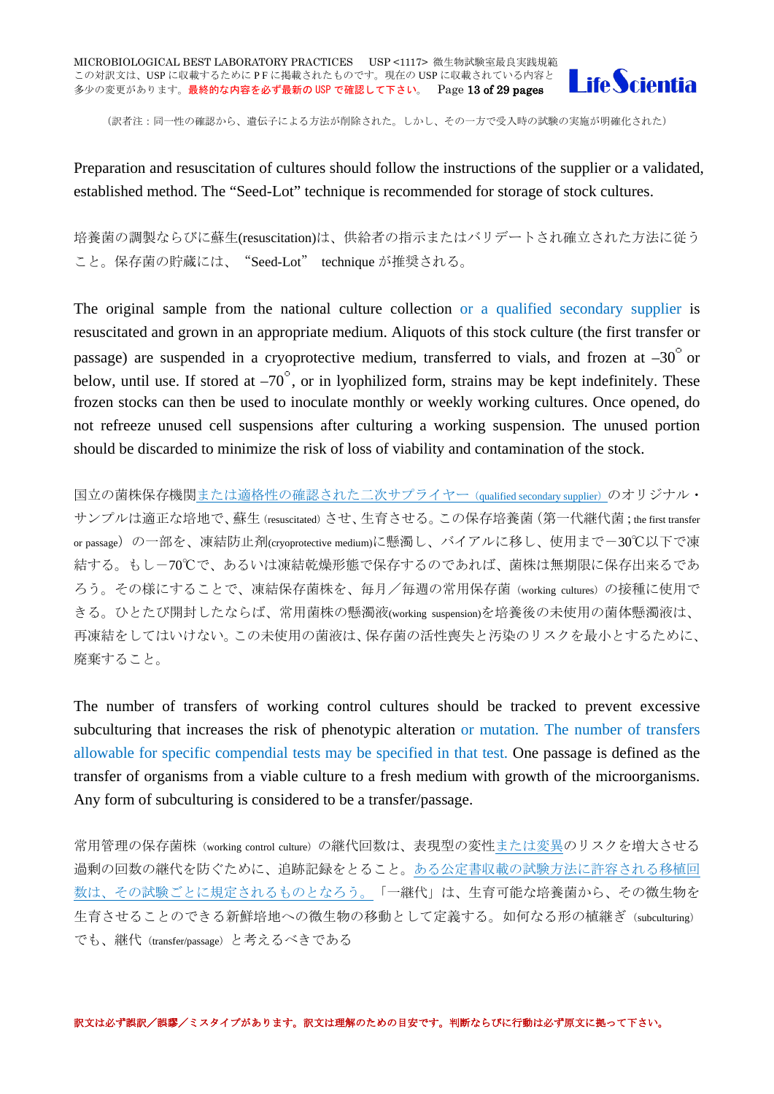

(訳者注:同一性の確認から、遺伝子による方法が削除された。しかし、その一方で受入時の試験の実施が明確化された)

Preparation and resuscitation of cultures should follow the instructions of the supplier or a validated, established method. The "Seed-Lot" technique is recommended for storage of stock cultures.

培養菌の調製ならびに蘇生(resuscitation)は、供給者の指示またはバリデートされ確立された方法に従う こと。保存菌の貯蔵には、"Seed-Lot" technique が推奨される。

The original sample from the national culture collection or a qualified secondary supplier is resuscitated and grown in an appropriate medium. Aliquots of this stock culture (the first transfer or passage) are suspended in a cryoprotective medium, transferred to vials, and frozen at  $-30^{\circ}$  or below, until use. If stored at  $-70^\circ$ , or in lyophilized form, strains may be kept indefinitely. These frozen stocks can then be used to inoculate monthly or weekly working cultures. Once opened, do not refreeze unused cell suspensions after culturing a working suspension. The unused portion should be discarded to minimize the risk of loss of viability and contamination of the stock.

国立の菌株保存機関または適格性の確認された二次サプライヤー(qualified secondary supplier)のオリジナル・ サンプルは適正な培地で、蘇生(resuscitated)させ、生育させる。この保存培養菌(第一代継代菌;the first transfer or passage)の一部を、凍結防止剤(cryoprotective medium)に懸濁し、バイアルに移し、使用まで-30℃以下で凍 結する。もし-70℃で、あるいは凍結乾燥形態で保存するのであれば、菌株は無期限に保存出来るであ ろう。その様にすることで、凍結保存菌株を、毎月/毎週の常用保存菌(working cultures)の接種に使用で きる。ひとたび開封したならば、常用菌株の懸濁液(working suspension)を培養後の未使用の菌体懸濁液は、 再凍結をしてはいけない。この未使用の菌液は、保存菌の活性喪失と汚染のリスクを最小とするために、 廃棄すること。

The number of transfers of working control cultures should be tracked to prevent excessive subculturing that increases the risk of phenotypic alteration or mutation. The number of transfers allowable for specific compendial tests may be specified in that test. One passage is defined as the transfer of organisms from a viable culture to a fresh medium with growth of the microorganisms. Any form of subculturing is considered to be a transfer/passage.

常用管理の保存菌株 (working control culture) の継代回数は、表現型の変性または変異のリスクを増大させる 過剰の回数の継代を防ぐために、追跡記録をとること。ある公定書収載の試験方法に許容される移植回 数は、その試験ごとに規定されるものとなろう。「一継代」は、生育可能な培養菌から、その微生物を 生育させることのできる新鮮培地への微生物の移動として定義する。如何なる形の植継ぎ(subculturing) でも、継代(transfer/passage)と考えるべきである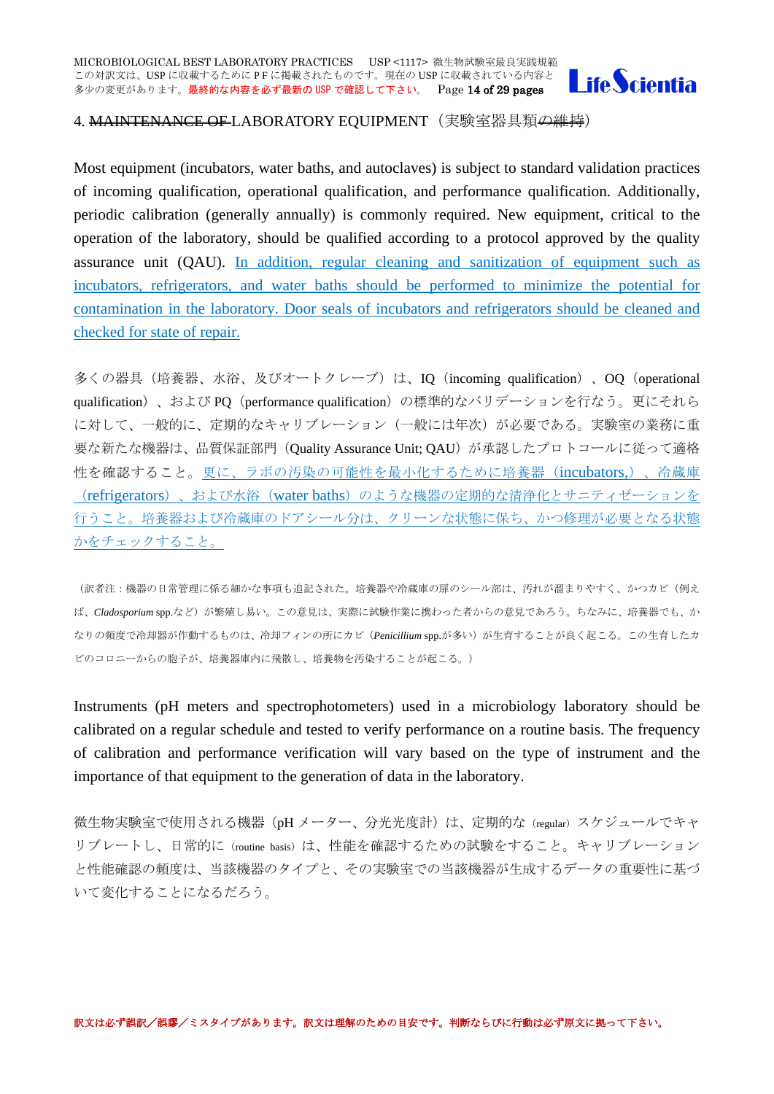

# <span id="page-13-0"></span>4. MAINTENANCE OF LABORATORY EQUIPMENT (実験室器具類<del>の維持</del>)

Most equipment (incubators, water baths, and autoclaves) is subject to standard validation practices of incoming qualification, operational qualification, and performance qualification. Additionally, periodic calibration (generally annually) is commonly required. New equipment, critical to the operation of the laboratory, should be qualified according to a protocol approved by the quality assurance unit (QAU). In addition, regular cleaning and sanitization of equipment such as incubators, refrigerators, and water baths should be performed to minimize the potential for contamination in the laboratory. Door seals of incubators and refrigerators should be cleaned and checked for state of repair.

多くの器具(培養器、水浴、及びオートクレーブ)は、IO (incoming qualification)、OO (operational qualification)、および PQ (performance qualification)の標準的なバリデーションを行なう。更にそれら に対して、一般的に、定期的なキャリブレーション(一般には年次)が必要である。実験室の業務に重 要な新たな機器は、品質保証部門(Quality Assurance Unit; QAU)が承認したプロトコールに従って適格 性を確認すること。更に、ラボの汚染の可能性を最小化するために培養器(incubators,)、冷蔵庫 (refrigerators)、および水浴(water baths)のような機器の定期的な清浄化とサニティゼーションを 行うこと。培養器および冷蔵庫のドアシール分は、クリーンな状態に保ち、かつ修理が必要となる状態 かをチェックすること。

(訳者注:機器の日常管理に係る細かな事項も追記された。培養器や冷蔵庫の扉のシール部は、汚れが溜まりやすく、かつカビ(例え ば、*Cladosporium* spp.など)が繁殖し易い。この意見は、実際に試験作業に携わった者からの意見であろう。ちなみに、培養器でも、か なりの頻度で冷却器が作動するものは、冷却フィンの所にカビ(*Penicillium* spp.が多い)が生育することが良く起こる。この生育したカ ビのコロニーからの胞子が、培養器庫内に飛散し、培養物を汚染することが起こる。)

Instruments (pH meters and spectrophotometers) used in a microbiology laboratory should be calibrated on a regular schedule and tested to verify performance on a routine basis. The frequency of calibration and performance verification will vary based on the type of instrument and the importance of that equipment to the generation of data in the laboratory.

微生物実験室で使用される機器(pH メーター、分光光度計)は、定期的な (regular) スケジュールでキャ リブレートし、日常的に (routine basis) は、性能を確認するための試験をすること。キャリブレーション と性能確認の頻度は、当該機器のタイプと、その実験室での当該機器が生成するデータの重要性に基づ いて変化することになるだろう。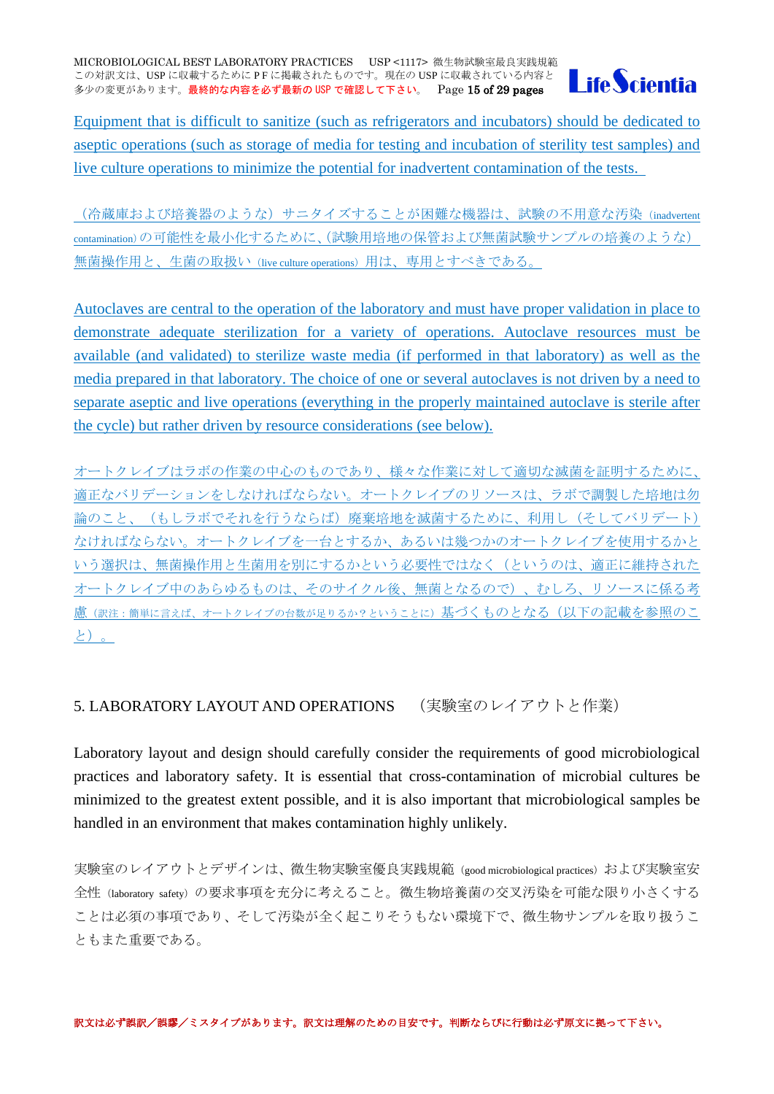

Equipment that is difficult to sanitize (such as refrigerators and incubators) should be dedicated to aseptic operations (such as storage of media for testing and incubation of sterility test samples) and live culture operations to minimize the potential for inadvertent contamination of the tests.

(冷蔵庫および培養器のような)サニタイズすることが困難な機器は、試験の不用意な汚染(inadvertent contamination)の可能性を最小化するために、(試験用培地の保管および無菌試験サンプルの培養のような) 無菌操作用と、生菌の取扱い(live culture operations) 用は、専用とすべきである。

Autoclaves are central to the operation of the laboratory and must have proper validation in place to demonstrate adequate sterilization for a variety of operations. Autoclave resources must be available (and validated) to sterilize waste media (if performed in that laboratory) as well as the media prepared in that laboratory. The choice of one or several autoclaves is not driven by a need to separate aseptic and live operations (everything in the properly maintained autoclave is sterile after the cycle) but rather driven by resource considerations (see below).

オートクレイブはラボの作業の中心のものであり、様々な作業に対して適切な滅菌を証明するために、 適正なバリデーションをしなければならない。オートクレイブのリソースは、ラボで調製した培地は勿 論のこと、(もしラボでそれを行うならば)廃棄培地を滅菌するために、利用し(そしてバリデート) なければならない。オートクレイブを一台とするか、あるいは幾つかのオートクレイブを使用するかと いう選択は、無菌操作用と生菌用を別にするかという必要性ではなく(というのは、適正に維持された オートクレイブ中のあらゆるものは、そのサイクル後、無菌となるので)、むしろ、リソースに係る考 慮(訳注:簡単に言えば、オートクレイブの台数が足りるか?ということに)基づくものとなる(以下の記載を参照のこ と)。

# <span id="page-14-0"></span>5. LABORATORY LAYOUT AND OPERATIONS (実験室のレイアウトと作業)

Laboratory layout and design should carefully consider the requirements of good microbiological practices and laboratory safety. It is essential that cross-contamination of microbial cultures be minimized to the greatest extent possible, and it is also important that microbiological samples be handled in an environment that makes contamination highly unlikely.

実験室のレイアウトとデザインは、微生物実験室優良実践規範 (good microbiological practices) および実験室安 全性(laboratory safety)の要求事項を充分に考えること。微生物培養菌の交叉汚染を可能な限り小さくする ことは必須の事項であり、そして汚染が全く起こりそうもない環境下で、微生物サンプルを取り扱うこ ともまた重要である。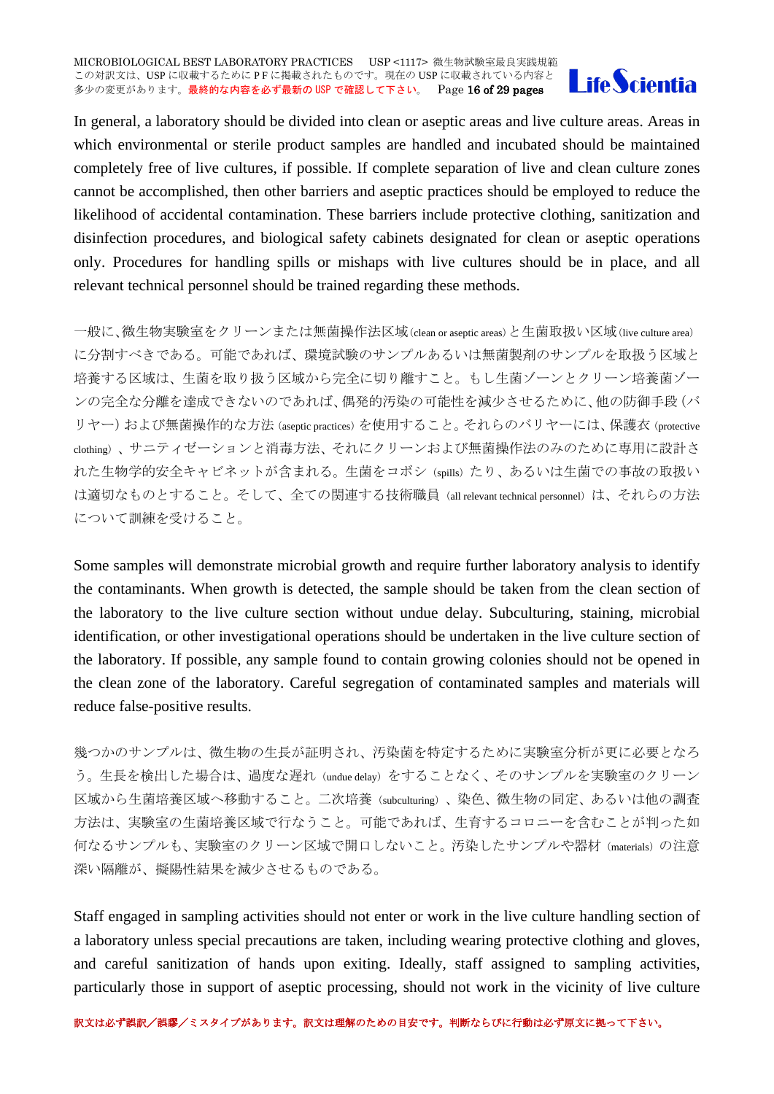

In general, a laboratory should be divided into clean or aseptic areas and live culture areas. Areas in which environmental or sterile product samples are handled and incubated should be maintained completely free of live cultures, if possible. If complete separation of live and clean culture zones cannot be accomplished, then other barriers and aseptic practices should be employed to reduce the likelihood of accidental contamination. These barriers include protective clothing, sanitization and disinfection procedures, and biological safety cabinets designated for clean or aseptic operations only. Procedures for handling spills or mishaps with live cultures should be in place, and all relevant technical personnel should be trained regarding these methods.

一般に、微生物実験室をクリーンまたは無菌操作法区域(clean or aseptic areas)と生菌取扱い区域(live culture area) に分割すべきである。可能であれば、環境試験のサンプルあるいは無菌製剤のサンプルを取扱う区域と 培養する区域は、生菌を取り扱う区域から完全に切り離すこと。もし生菌ゾーンとクリーン培養菌ゾー ンの完全な分離を達成できないのであれば、偶発的汚染の可能性を減少させるために、他の防御手段(バ リヤー)および無菌操作的な方法 (aseptic practices) を使用すること。それらのバリヤーには、保護衣 (protective clothing)、サニティゼーションと消毒方法、それにクリーンおよび無菌操作法のみのために専用に設計さ れた生物学的安全キャビネットが含まれる。生菌をコボシ(spills)たり、あるいは生菌での事故の取扱い は適切なものとすること。そして、全ての関連する技術職員 (all relevant technical personnel)は、それらの方法 について訓練を受けること。

Some samples will demonstrate microbial growth and require further laboratory analysis to identify the contaminants. When growth is detected, the sample should be taken from the clean section of the laboratory to the live culture section without undue delay. Subculturing, staining, microbial identification, or other investigational operations should be undertaken in the live culture section of the laboratory. If possible, any sample found to contain growing colonies should not be opened in the clean zone of the laboratory. Careful segregation of contaminated samples and materials will reduce false-positive results.

幾つかのサンプルは、微生物の生長が証明され、汚染菌を特定するために実験室分析が更に必要となろ う。生長を検出した場合は、過度な遅れ(undue delay)をすることなく、そのサンプルを実験室のクリーン 区域から生菌培養区域へ移動すること。二次培養(subculturing)、染色、微生物の同定、あるいは他の調査 方法は、実験室の生菌培養区域で行なうこと。可能であれば、生育するコロニーを含むことが判った如 何なるサンプルも、実験室のクリーン区域で開口しないこと。汚染したサンプルや器材(materials)の注意 深い隔離が、擬陽性結果を減少させるものである。

Staff engaged in sampling activities should not enter or work in the live culture handling section of a laboratory unless special precautions are taken, including wearing protective clothing and gloves, and careful sanitization of hands upon exiting. Ideally, staff assigned to sampling activities, particularly those in support of aseptic processing, should not work in the vicinity of live culture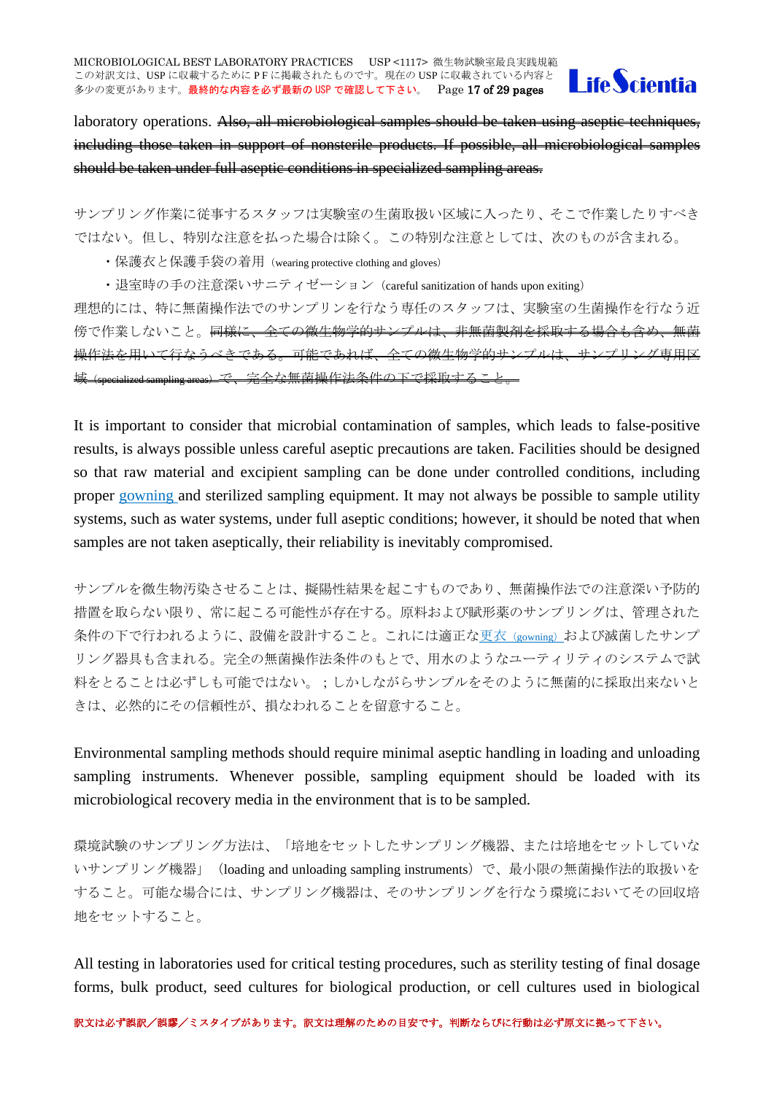

laboratory operations. Also, all microbiological samples should be taken using aseptic techniques, including those taken in support of nonsterile products. If possible, all microbiological samples should be taken under full aseptic conditions in specialized sampling areas.

サンプリング作業に従事するスタッフは実験室の生菌取扱い区域に入ったり、そこで作業したりすべき ではない。但し、特別な注意を払った場合は除く。この特別な注意としては、次のものが含まれる。

・保護衣と保護手袋の着用(wearing protective clothing and gloves)

・退室時の手の注意深いサニティゼーション(careful sanitization of hands upon exiting)

理想的には、特に無菌操作法でのサンプリンを行なう専任のスタッフは、実験室の生菌操作を行なう近 傍で作業しないこと。同様に、全ての微生物学的サンプルは、非無菌製剤を採取する場合も含め、無菌 操作法を用いて行なうべきである。可能であれば、全ての微生物学的サンプルは、サンプリング専用区 域(specialized sampling areas)で、完全な無菌操作法条件の下で採取すること。

It is important to consider that microbial contamination of samples, which leads to false-positive results, is always possible unless careful aseptic precautions are taken. Facilities should be designed so that raw material and excipient sampling can be done under controlled conditions, including proper gowning and sterilized sampling equipment. It may not always be possible to sample utility systems, such as water systems, under full aseptic conditions; however, it should be noted that when samples are not taken aseptically, their reliability is inevitably compromised.

サンプルを微生物汚染させることは、擬陽性結果を起こすものであり、無菌操作法での注意深い予防的 措置を取らない限り、常に起こる可能性が存在する。原料および賦形薬のサンプリングは、管理された 条件の下で行われるように、設備を設計すること。これには適正な更衣 (gowning) および滅菌したサンプ リング器具も含まれる。完全の無菌操作法条件のもとで、用水のようなユーティリティのシステムで試 料をとることは必ずしも可能ではない。;しかしながらサンプルをそのように無菌的に採取出来ないと きは、必然的にその信頼性が、損なわれることを留意すること。

Environmental sampling methods should require minimal aseptic handling in loading and unloading sampling instruments. Whenever possible, sampling equipment should be loaded with its microbiological recovery media in the environment that is to be sampled.

環境試験のサンプリング方法は、「培地をセットしたサンプリング機器、または培地をセットしていな いサンプリング機器」(loading and unloading sampling instruments)で、最小限の無菌操作法的取扱いを すること。可能な場合には、サンプリング機器は、そのサンプリングを行なう環境においてその回収培 地をセットすること。

All testing in laboratories used for critical testing procedures, such as sterility testing of final dosage forms, bulk product, seed cultures for biological production, or cell cultures used in biological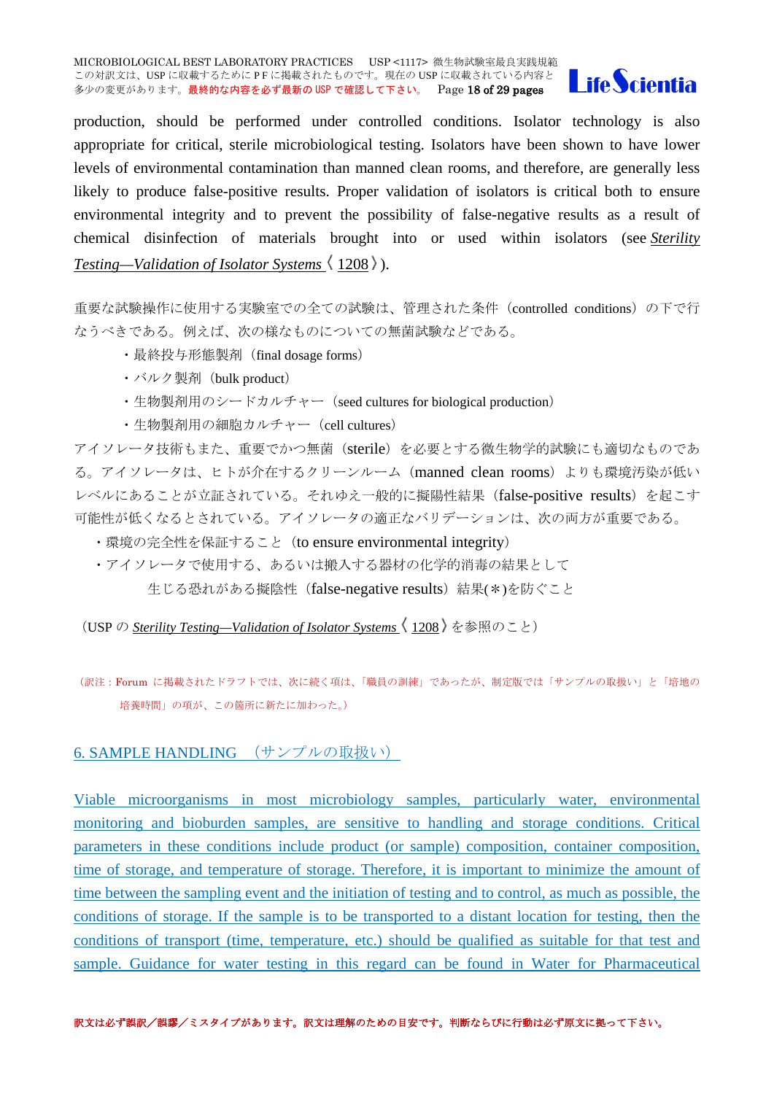MICROBIOLOGICAL BEST LABORATORY PRACTICES USP <1117> 微生物試験室最良実践規範 この対訳文は、USP に収載するために PF に掲載されたものです。現在の USP に収載されている内容と 多少の変更があります。最終的な内容を必ず最新の USP で確認して下さい。 Page 18 of 29 pages



production, should be performed under controlled conditions. Isolator technology is also appropriate for critical, sterile microbiological testing. Isolators have been shown to have lower levels of environmental contamination than manned clean rooms, and therefore, are generally less likely to produce false-positive results. Proper validation of isolators is critical both to ensure environmental integrity and to prevent the possibility of false-negative results as a result of chemical disinfection of materials brought into or used within isolators (see *[Sterility](http://www.drugfuture.com/pharmacopoeia/usp32/pub/data/v32270/usp32nf27s0_c1208.html#usp32nf27s0_c1208)  [Testing—Validation of Isolator Systems](http://www.drugfuture.com/pharmacopoeia/usp32/pub/data/v32270/usp32nf27s0_c1208.html#usp32nf27s0_c1208)*  $\langle 1208 \rangle$ .

重要な試験操作に使用する実験室での全ての試験は、管理された条件(controlled conditions)の下で行 なうべきである。例えば、次の様なものについての無菌試験などである。

- ・最終投与形態製剤(final dosage forms)
- ・バルク製剤(bulk product)
- ・生物製剤用のシードカルチャー(seed cultures for biological production)
- ・生物製剤用の細胞カルチャー(cell cultures)

アイソレータ技術もまた、重要でかつ無菌(sterile)を必要とする微生物学的試験にも適切なものであ る。アイソレータは、ヒトが介在するクリーンルーム(manned clean rooms)よりも環境汚染が低い レベルにあることが立証されている。それゆえ一般的に擬陽性結果(false-positive results)を起こす 可能性が低くなるとされている。アイソレータの適正なバリデーションは、次の両方が重要である。

- ・環境の完全性を保証すること (to ensure environmental integrity)
- ・アイソレータで使用する、あるいは搬入する器材の化学的消毒の結果として

生じる恐れがある擬陰性 (false-negative results) 結果(\*)を防ぐこと

(USP の *[Sterility Testing—Validation of Isolator Systems](http://www.drugfuture.com/pharmacopoeia/usp32/pub/data/v32270/usp32nf27s0_c1208.html#usp32nf27s0_c1208)* 1208 を参照のこと)

(訳注:Forum に掲載されたドラフトでは、次に続く項は、「職員の訓練」であったが、制定版では「サンプルの取扱い」と「培地の 培養時間」の項が、この箇所に新たに加わった。)

# <span id="page-17-0"></span>6. SAMPLE HANDLING (サンプルの取扱い)

Viable microorganisms in most microbiology samples, particularly water, environmental monitoring and bioburden samples, are sensitive to handling and storage conditions. Critical parameters in these conditions include product (or sample) composition, container composition, time of storage, and temperature of storage. Therefore, it is important to minimize the amount of time between the sampling event and the initiation of testing and to control, as much as possible, the conditions of storage. If the sample is to be transported to a distant location for testing, then the conditions of transport (time, temperature, etc.) should be qualified as suitable for that test and sample. Guidance for water testing in this regard can be found in Water for Pharmaceutical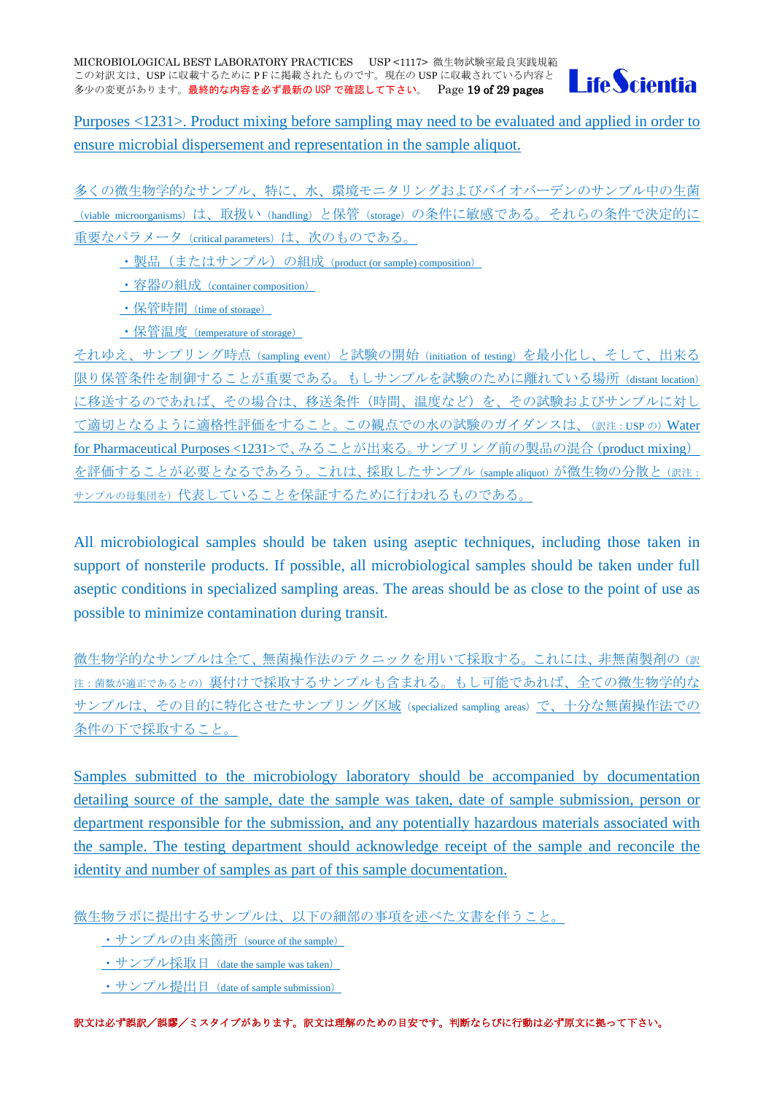

Purposes <1231>. Product mixing before sampling may need to be evaluated and applied in order to ensure microbial dispersement and representation in the sample aliquot.

多くの微生物学的なサンプル、特に、水、環境モニタリングおよびバイオバーデンのサンプル中の生菌 (viable microorganisms)は、取扱い (handling)と保管 (storage) の条件に敏感である。それらの条件で決定的に 重要なパラメータ (critical parameters) は、次のものである。

· 製品 (またはサンプル) の組成 (product (or sample) composition)

・容器の組成(container composition)

・保管時間(time of storage)

・保管温度(temperature of storage)

それゆえ、サンプリング時点(sampling event)と試験の開始(initiation of testing)を最小化し、そして、出来る 限り保管条件を制御することが重要である。もしサンプルを試験のために離れている場所 (distant location) に移送するのであれば、その場合は、移送条件(時間、温度など)を、その試験およびサンプルに対し て適切となるように適格性評価をすること。この観点での水の試験のガイダンスは、(訳注:USP の)Water for Pharmaceutical Purposes <1231>で、みることが出来る。サンプリング前の製品の混合(product mixing) を評価することが必要となるであろう。これは、採取したサンプル(sample aliquot)が微生物の分散と(訳注: サンプルの母集団を)代表していることを保証するために行われるものである。

All microbiological samples should be taken using aseptic techniques, including those taken in support of nonsterile products. If possible, all microbiological samples should be taken under full aseptic conditions in specialized sampling areas. The areas should be as close to the point of use as possible to minimize contamination during transit.

微生物学的なサンプルは全て、無菌操作法のテクニックを用いて採取する。これには、非無菌製剤の(訳 注:菌数が適正であるとの)裏付けで採取するサンプルも含まれる。もし可能であれば、全ての微生物学的な サンプルは、その目的に特化させたサンプリング区域(specialized sampling areas)で、十分な無菌操作法での 条件の下で採取すること。

Samples submitted to the microbiology laboratory should be accompanied by documentation detailing source of the sample, date the sample was taken, date of sample submission, person or department responsible for the submission, and any potentially hazardous materials associated with the sample. The testing department should acknowledge receipt of the sample and reconcile the identity and number of samples as part of this sample documentation.

微生物ラボに提出するサンプルは、以下の細部の事項を述べた文書を伴うこと。

・サンプルの由来箇所(source of the sample)

・サンプル採取日 (date the sample was taken)

・サンプル提出日 (date of sample submission)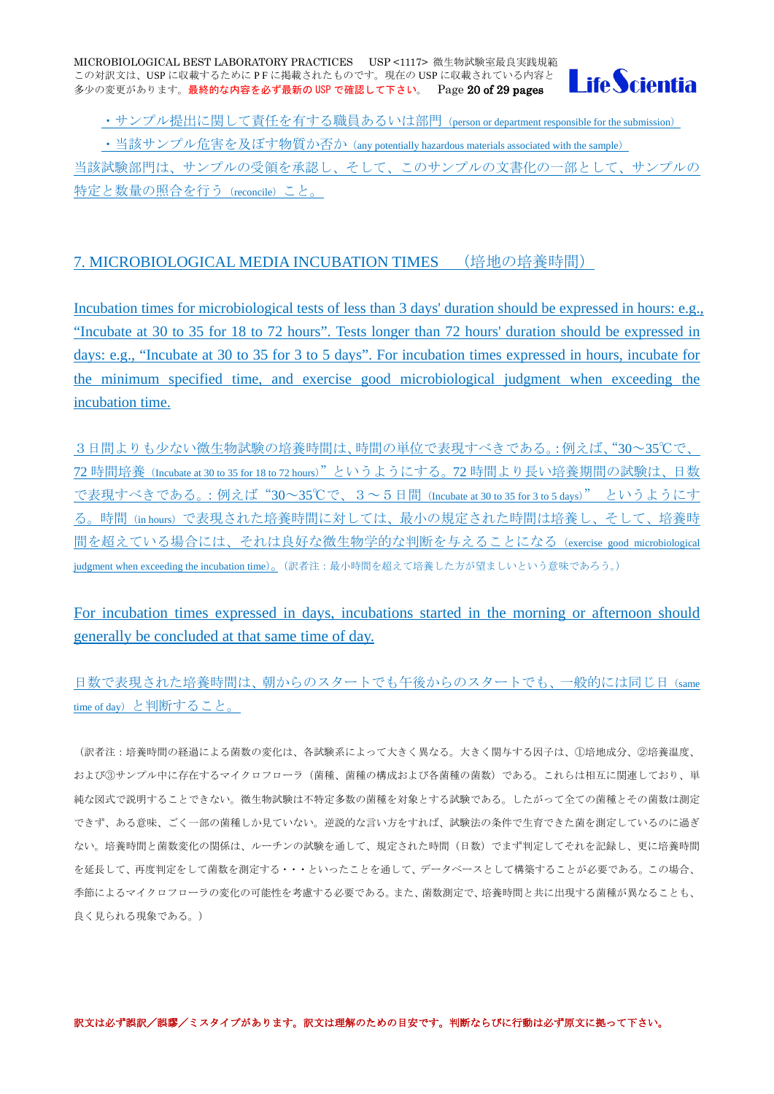

・サンプル提出に関して責任を有する職員あるいは部門 (person or department responsible for the submission)

・当該サンプル危害を及ぼす物質か否か (any potentially hazardous materials associated with the sample) 当該試験部門は、サンプルの受領を承認し、そして、このサンプルの文書化の一部として、サンプルの 特定と数量の照合を行う (reconcile) こと。

# <span id="page-19-0"></span>7. MICROBIOLOGICAL MEDIA INCUBATION TIMES (培地の培養時間)

Incubation times for microbiological tests of less than 3 days' duration should be expressed in hours: e.g., "Incubate at 30 to 35 for 18 to 72 hours". Tests longer than 72 hours' duration should be expressed in days: e.g., "Incubate at 30 to 35 for 3 to 5 days". For incubation times expressed in hours, incubate for the minimum specified time, and exercise good microbiological judgment when exceeding the incubation time.

3日間よりも少ない微生物試験の培養時間は、時間の単位で表現すべきである。:例えば、"30~35℃で、 72 時間培養(Incubate at 30 to 35 for 18 to 72 hours)"というようにする。72 時間より長い培養期間の試験は、日数 で表現すべきである。:例えば"30~35℃で、3~5日間(Incubate at 30 to 35 for 3 to 5 days)" というようにす る。時間(in hours)で表現された培養時間に対しては、最小の規定された時間は培養し、そして、培養時 間を超えている場合には、それは良好な微生物学的な判断を与えることになる(exercise good microbiological judgment when exceeding the incubation time)。(訳者注:最小時間を超えて培養した方が望ましいという意味であろう。)

For incubation times expressed in days, incubations started in the morning or afternoon should generally be concluded at that same time of day.

日数で表現された培養時間は、朝からのスタートでも午後からのスタートでも、一般的には同じ日(same time of day)と判断すること。

(訳者注:培養時間の経過による菌数の変化は、各試験系によって大きく異なる。大きく関与する因子は、①培地成分、②培養温度、 および③サンプル中に存在するマイクロフローラ(菌種、菌種の構成および各菌種の菌数)である。これらは相互に関連しており、単 純な図式で説明することできない。微生物試験は不特定多数の菌種を対象とする試験である。したがって全ての菌種とその菌数は測定 できず、ある意味、ごく一部の菌種しか見ていない。逆説的な言い方をすれば、試験法の条件で生育できた菌を測定しているのに過ぎ ない。培養時間と菌数変化の関係は、ルーチンの試験を通して、規定された時間(日数)でまず判定してそれを記録し、更に培養時間 を延長して、再度判定をして菌数を測定する・・・といったことを通して、データベースとして構築することが必要である。この場合、 季節によるマイクロフローラの変化の可能性を考慮する必要である。また、菌数測定で、培養時間と共に出現する菌種が異なることも、 良く見られる現象である。)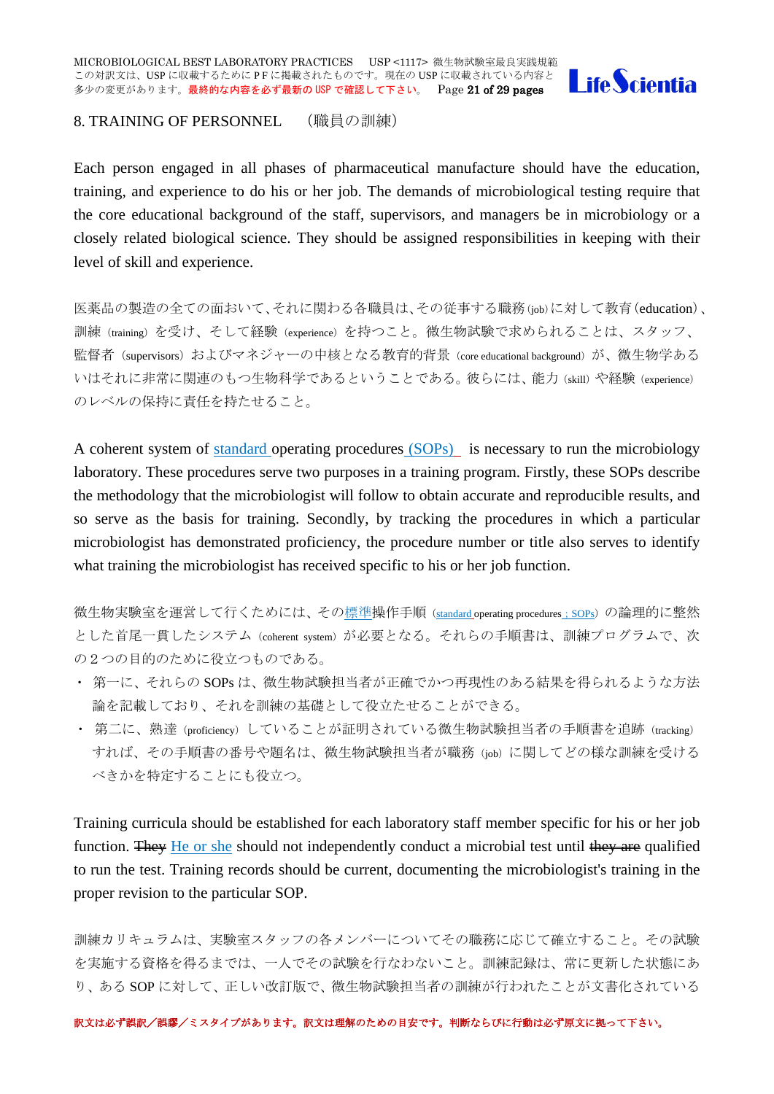

#### <span id="page-20-0"></span>8. TRAINING OF PERSONNEL (職員の訓練)

Each person engaged in all phases of pharmaceutical manufacture should have the education, training, and experience to do his or her job. The demands of microbiological testing require that the core educational background of the staff, supervisors, and managers be in microbiology or a closely related biological science. They should be assigned responsibilities in keeping with their level of skill and experience.

医薬品の製造の全ての面おいて、それに関わる各職員は、その従事する職務(job)に対して教育(education)、 訓練(training)を受け、そして経験(experience)を持つこと。微生物試験で求められることは、スタッフ、 監督者 (supervisors) およびマネジャーの中核となる教育的背景 (core educational background) が、微生物学ある いはそれに非常に関連のもつ生物科学であるということである。彼らには、能力(skill)や経験(experience) のレベルの保持に責任を持たせること。

A coherent system of standard operating procedures (SOPs) is necessary to run the microbiology laboratory. These procedures serve two purposes in a training program. Firstly, these SOPs describe the methodology that the microbiologist will follow to obtain accurate and reproducible results, and so serve as the basis for training. Secondly, by tracking the procedures in which a particular microbiologist has demonstrated proficiency, the procedure number or title also serves to identify what training the microbiologist has received specific to his or her job function.

微生物実験室を運営して行くためには、その標準操作手順 (standard operating procedures; SOPs) の論理的に整然 とした首尾一貫したシステム(coherent system)が必要となる。それらの手順書は、訓練プログラムで、次 の2つの目的のために役立つものである。

- ・ 第一に、それらの SOPs は、微生物試験担当者が正確でかつ再現性のある結果を得られるような方法 論を記載しており、それを訓練の基礎として役立たせることができる。
- · 第二に、熟達(proficiency)していることが証明されている微生物試験担当者の手順書を追跡(tracking) すれば、その手順書の番号や題名は、微生物試験担当者が職務(job)に関してどの様な訓練を受ける べきかを特定することにも役立つ。

Training curricula should be established for each laboratory staff member specific for his or her job function. They He or she should not independently conduct a microbial test until they are qualified to run the test. Training records should be current, documenting the microbiologist's training in the proper revision to the particular SOP.

訓練カリキュラムは、実験室スタッフの各メンバーについてその職務に応じて確立すること。その試験 を実施する資格を得るまでは、一人でその試験を行なわないこと。訓練記録は、常に更新した状態にあ り、ある SOP に対して、正しい改訂版で、微生物試験担当者の訓練が行われたことが文書化されている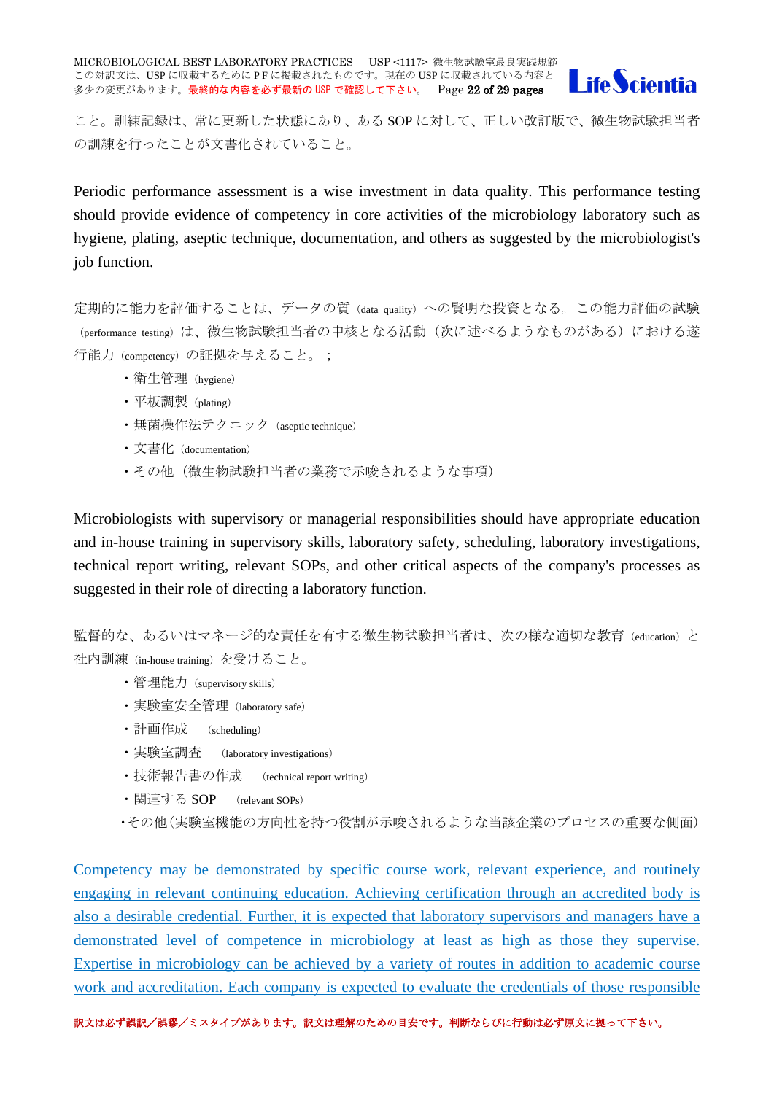MICROBIOLOGICAL BEST LABORATORY PRACTICES USP <1117> 微生物試験室最良実践規範 この対訳文は、USP に収載するために PF に掲載されたものです。現在の USP に収載されている内容と 多少の変更があります。最終的な内容を必ず最新の USP で確認して下さい。 Page 22 of 29 pages



こと。訓練記録は、常に更新した状態にあり、ある SOP に対して、正しい改訂版で、微生物試験担当者 の訓練を行ったことが文書化されていること。

Periodic performance assessment is a wise investment in data quality. This performance testing should provide evidence of competency in core activities of the microbiology laboratory such as hygiene, plating, aseptic technique, documentation, and others as suggested by the microbiologist's job function.

定期的に能力を評価することは、データの質(data quality)への賢明な投資となる。この能力評価の試験 (performance testing)は、微生物試験担当者の中核となる活動(次に述べるようなものがある)における遂 行能力(competency)の証拠を与えること。;

- ・衛生管理(hygiene)
- ・平板調製(plating)
- ・無菌操作法テクニック(aseptic technique)
- ・文書化(documentation)
- ・その他(微生物試験担当者の業務で示唆されるような事項)

Microbiologists with supervisory or managerial responsibilities should have appropriate education and in-house training in supervisory skills, laboratory safety, scheduling, laboratory investigations, technical report writing, relevant SOPs, and other critical aspects of the company's processes as suggested in their role of directing a laboratory function.

監督的な、あるいはマネージ的な責任を有する微生物試験担当者は、次の様な適切な教育(education)と 社内訓練(in-house training)を受けること。

- ・管理能力(supervisory skills)
- ・実験室安全管理(laboratory safe)
- ・計画作成 (scheduling)
- ・実験室調査 (laboratory investigations)
- ・技術報告書の作成 (technical report writing)
- ・関連する SOP (relevant SOPs)
- ・その他(実験室機能の方向性を持つ役割が示唆されるような当該企業のプロセスの重要な側面)

Competency may be demonstrated by specific course work, relevant experience, and routinely engaging in relevant continuing education. Achieving certification through an accredited body is also a desirable credential. Further, it is expected that laboratory supervisors and managers have a demonstrated level of competence in microbiology at least as high as those they supervise. Expertise in microbiology can be achieved by a variety of routes in addition to academic course work and accreditation. Each company is expected to evaluate the credentials of those responsible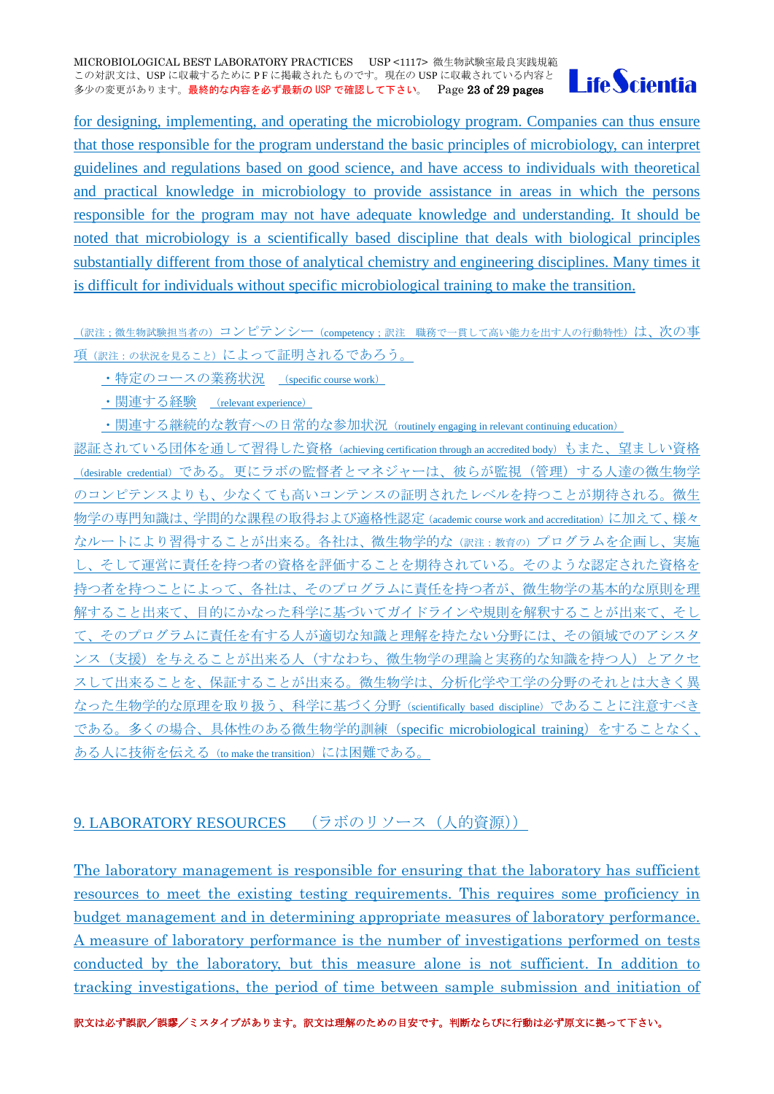

for designing, implementing, and operating the microbiology program. Companies can thus ensure that those responsible for the program understand the basic principles of microbiology, can interpret guidelines and regulations based on good science, and have access to individuals with theoretical and practical knowledge in microbiology to provide assistance in areas in which the persons responsible for the program may not have adequate knowledge and understanding. It should be noted that microbiology is a scientifically based discipline that deals with biological principles substantially different from those of analytical chemistry and engineering disciplines. Many times it is difficult for individuals without specific microbiological training to make the transition.

(訳注;微生物試験担当者の)コンピテンシー(competency;訳注 職務で一貫して高い能力を出す人の行動特性)は、次の事 項(訳注:の状況を見ること)によって証明されるであろう。

・特定のコースの業務状況 (specific course work)

・関連する経験 (relevant experience)

・関連する継続的な教育への日常的な参加状況 (routinely engaging in relevant continuing education)

認証されている団体を通して習得した資格(achieving certification through an accredited body)もまた、望ましい資格 (desirable credential) である。更にラボの監督者とマネジャーは、彼らが監視(管理)する人達の微生物学 のコンピテンスよりも、少なくても高いコンテンスの証明されたレベルを持つことが期待される。微生 物学の専門知識は、学問的な課程の取得および適格性認定(academic course work and accreditation)に加えて、様々 なルートにより習得することが出来る。各社は、微生物学的な (訳注:教育の)プログラムを企画し、実施 し、そして運営に責任を持つ者の資格を評価することを期待されている。そのような認定された資格を 持つ者を持つことによって、各社は、そのプログラムに責任を持つ者が、微生物学の基本的な原則を理 解すること出来て、目的にかなった科学に基づいてガイドラインや規則を解釈することが出来て、そし て、そのプログラムに責任を有する人が適切な知識と理解を持たない分野には、その領域でのアシスタ ンス(支援)を与えることが出来る人(すなわち、微生物学の理論と実務的な知識を持つ人)とアクセ スして出来ることを、保証することが出来る。微生物学は、分析化学や工学の分野のそれとは大きく異 なった生物学的な原理を取り扱う、科学に基づく分野(scientifically based discipline)であることに注意すべき である。多くの場合、具体性のある微生物学的訓練(specific microbiological training)をすることなく、 ある人に技術を伝える(to make the transition)には困難である。

# <span id="page-22-0"></span>9. LABORATORY RESOURCES (ラボのリソース (人的資源))

The laboratory management is responsible for ensuring that the laboratory has sufficient resources to meet the existing testing requirements. This requires some proficiency in budget management and in determining appropriate measures of laboratory performance. A measure of laboratory performance is the number of investigations performed on tests conducted by the laboratory, but this measure alone is not sufficient. In addition to tracking investigations, the period of time between sample submission and initiation of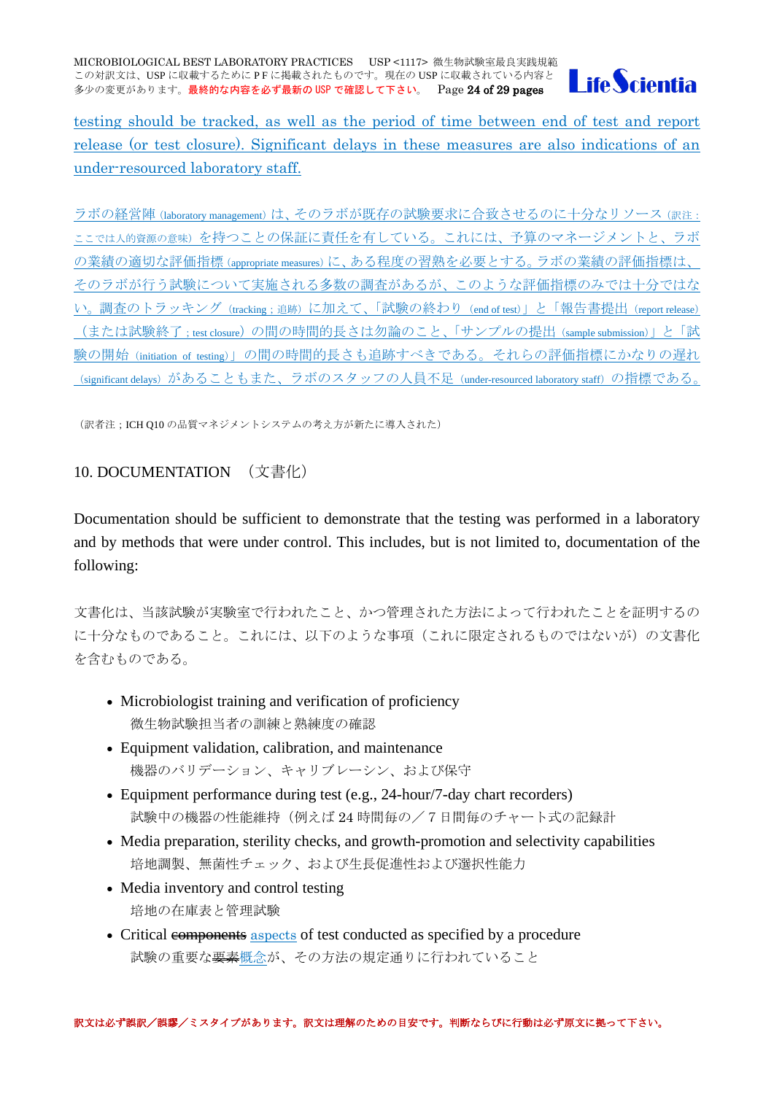

testing should be tracked, as well as the period of time between end of test and report release (or test closure). Significant delays in these measures are also indications of an under-resourced laboratory staff.

ラボの経営陣(laboratory management)は、そのラボが既存の試験要求に合致させるのに十分なリソース(訳注: ここでは人的資源の意味)を持つことの保証に責任を有している。これには、予算のマネージメントと、ラボ の業績の適切な評価指標(appropriate measures)に、ある程度の習熟を必要とする。ラボの業績の評価指標は、 そのラボが行う試験について実施される多数の調査があるが、このような評価指標のみでは十分ではな い。調査のトラッキング (tracking : 追跡) に加えて、「試験の終わり (end of test)」と「報告書提出 (report release) (または試験終了;test closure)の間の時間的長さは勿論のこと、「サンプルの提出(sample submission)」と「試 験の開始(initiation of testing)」の間の時間的長さも追跡すべきである。それらの評価指標にかなりの遅れ (significant delays) があることもまた、ラボのスタッフの人員不足 (under-resourced laboratory staff) の指標である。

(訳者注;ICH Q10 の品質マネジメントシステムの考え方が新たに導入された)

<span id="page-23-0"></span>10. DOCUMENTATION (文書化)

Documentation should be sufficient to demonstrate that the testing was performed in a laboratory and by methods that were under control. This includes, but is not limited to, documentation of the following:

文書化は、当該試験が実験室で行われたこと、かつ管理された方法によって行われたことを証明するの に十分なものであること。これには、以下のような事項(これに限定されるものではないが)の文書化 を含むものである。

- Microbiologist training and verification of proficiency 微生物試験担当者の訓練と熟練度の確認
- Equipment validation, calibration, and maintenance 機器のバリデーション、キャリブレーシン、および保守
- Equipment performance during test (e.g., 24-hour/7-day chart recorders) 試験中の機器の性能維持(例えば 24 時間毎の/7日間毎のチャート式の記録計
- Media preparation, sterility checks, and growth-promotion and selectivity capabilities 培地調製、無菌性チェック、および生長促進性および選択性能力
- Media inventory and control testing 培地の在庫表と管理試験
- Critical components aspects of test conducted as specified by a procedure 試験の重要な要素概念が、その方法の規定通りに行われていること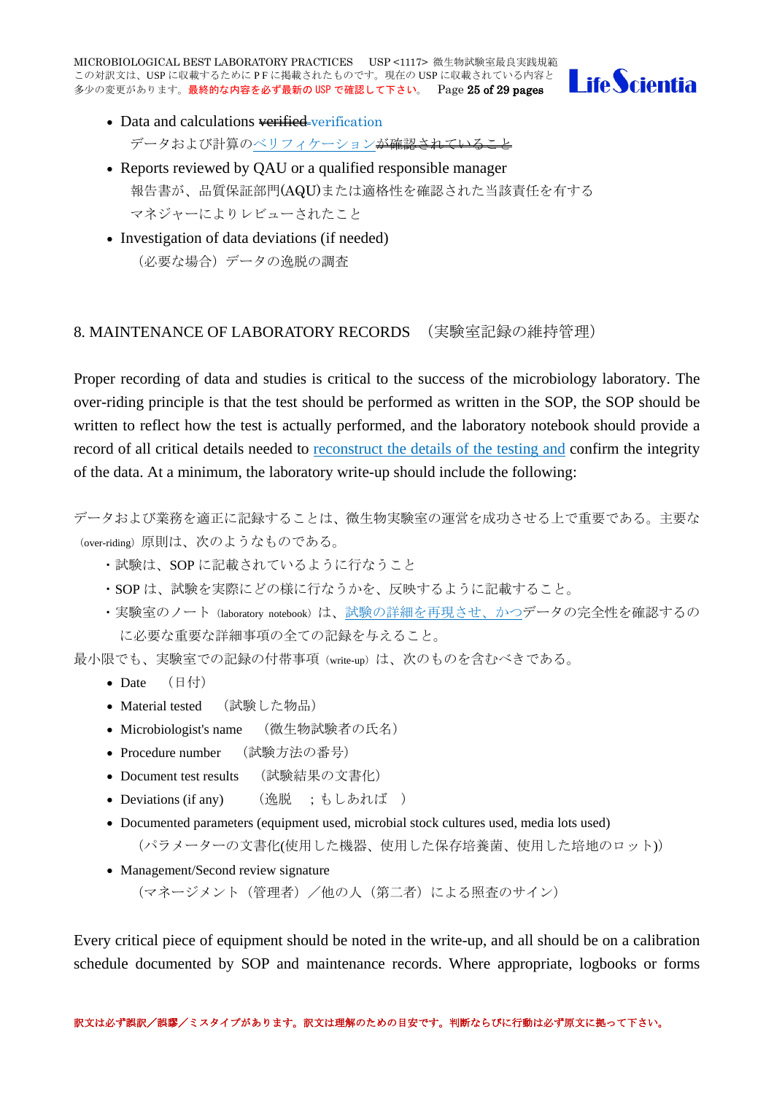MICROBIOLOGICAL BEST LABORATORY PRACTICES USP <1117> 微生物試験室最良実践規範 この対訳文は、USP に収載するために PF に掲載されたものです。現在の USP に収載されている内容と 多少の変更があります。最終的な内容を必ず最新の USP で確認して下さい。 Page 25 of 29 pages



- Data and calculations verified-verification データおよび計算のベリフィケーションが確認されていること
- Reports reviewed by OAU or a qualified responsible manager 報告書が、品質保証部門(AQU)または適格性を確認された当該責任を有する マネジャーによりレビューされたこと
- Investigation of data deviations (if needed) (必要な場合)データの逸脱の調査

# <span id="page-24-0"></span>8. MAINTENANCE OF LABORATORY RECORDS (実験室記録の維持管理)

Proper recording of data and studies is critical to the success of the microbiology laboratory. The over-riding principle is that the test should be performed as written in the SOP, the SOP should be written to reflect how the test is actually performed, and the laboratory notebook should provide a record of all critical details needed to reconstruct the details of the testing and confirm the integrity of the data. At a minimum, the laboratory write-up should include the following:

データおよび業務を適正に記録することは、微生物実験室の運営を成功させる上で重要である。主要な (over-riding) 原則は、次のようなものである。

- ・試験は、SOP に記載されているように行なうこと
- ・SOP は、試験を実際にどの様に行なうかを、反映するように記載すること。
- ・実験室のノート(laboratory notebook)は、試験の詳細を再現させ、かつデータの完全性を確認するの に必要な重要な詳細事項の全ての記録を与えること。

最小限でも、実験室での記録の付帯事項(write-up)は、次のものを含むべきである。

- Date  $(H<sup>+</sup>)$
- Material tested (試験した物品)
- Microbiologist's name (微生物試験者の氏名)
- Procedure number (試験方法の番号)
- Document test results (試験結果の文書化)
- Deviations (if any) (逸脱 ;もしあれば )
- Documented parameters (equipment used, microbial stock cultures used, media lots used) (パラメーターの文書化(使用した機器、使用した保存培養菌、使用した培地のロット))
- Management/Second review signature

(マネージメント(管理者)/他の人(第二者)による照査のサイン)

Every critical piece of equipment should be noted in the write-up, and all should be on a calibration schedule documented by SOP and maintenance records. Where appropriate, logbooks or forms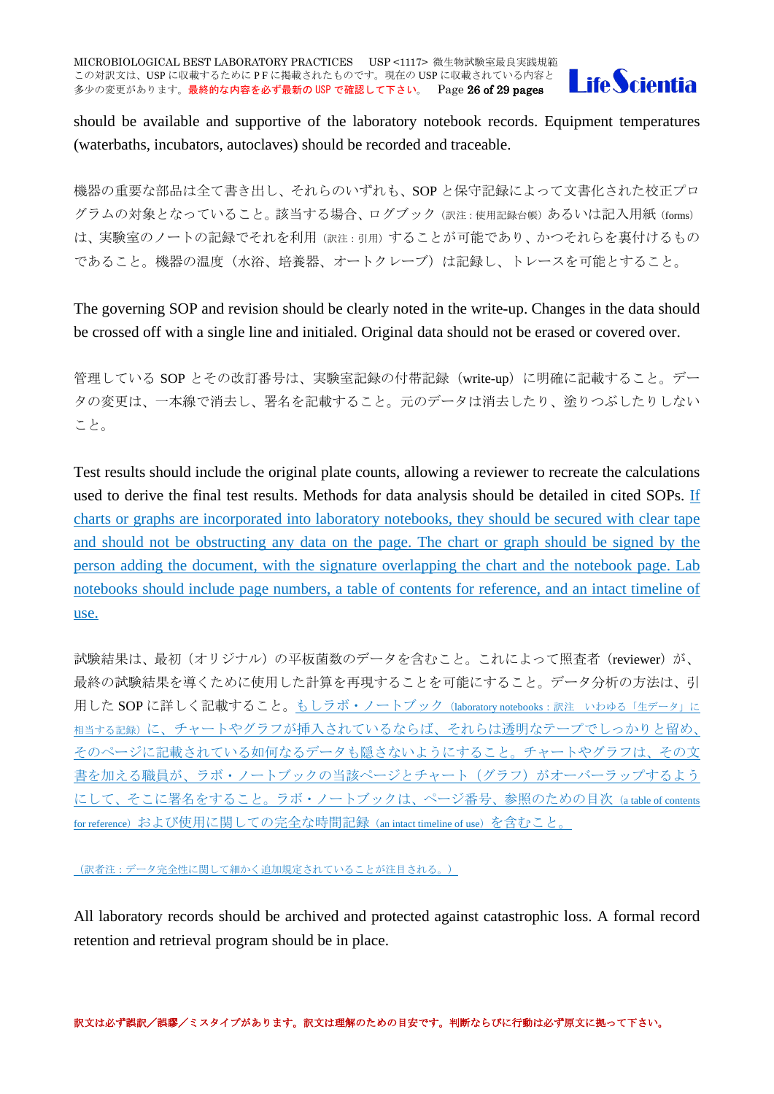

should be available and supportive of the laboratory notebook records. Equipment temperatures (waterbaths, incubators, autoclaves) should be recorded and traceable.

機器の重要な部品は全て書き出し、それらのいずれも、SOP と保守記録によって文書化された校正プロ グラムの対象となっていること。該当する場合、ログブック(訳注:使用記録台帳)あるいは記入用紙(forms) は、実験室のノートの記録でそれを利用(訳注:引用)することが可能であり、かつそれらを裏付けるもの であること。機器の温度(水浴、培養器、オートクレーブ)は記録し、トレースを可能とすること。

The governing SOP and revision should be clearly noted in the write-up. Changes in the data should be crossed off with a single line and initialed. Original data should not be erased or covered over.

管理している SOP とその改訂番号は、実験室記録の付帯記録(write-up)に明確に記載すること。デー タの変更は、一本線で消去し、署名を記載すること。元のデータは消去したり、塗りつぶしたりしない こと。

Test results should include the original plate counts, allowing a reviewer to recreate the calculations used to derive the final test results. Methods for data analysis should be detailed in cited SOPs. If charts or graphs are incorporated into laboratory notebooks, they should be secured with clear tape and should not be obstructing any data on the page. The chart or graph should be signed by the person adding the document, with the signature overlapping the chart and the notebook page. Lab notebooks should include page numbers, a table of contents for reference, and an intact timeline of use.

試験結果は、最初(オリジナル)の平板菌数のデータを含むこと。これによって照査者 (reviewer) が、 最終の試験結果を導くために使用した計算を再現することを可能にすること。データ分析の方法は、引 用した SOP に詳しく記載すること。もしラボ・ノートブック (laboratory notebooks:訳注 いわゆる「生データ」に 相当する記録)に、チャートやグラフが挿入されているならば、それらは透明なテープでしっかりと留め、 そのページに記載されている如何なるデータも隠さないようにすること。チャートやグラフは、その文 書を加える職員が、ラボ・ノートブックの当該ページとチャート(グラフ)がオーバーラップするよう にして、そこに署名をすること。ラボ・ノートブックは、ページ番号、参照のための目次(a table of contents for reference)および使用に関しての完全な時間記録 (an intact timeline of use)を含むこと。

(訳者注:データ完全性に関して細かく追加規定されていることが注目される。)

All laboratory records should be archived and protected against catastrophic loss. A formal record retention and retrieval program should be in place.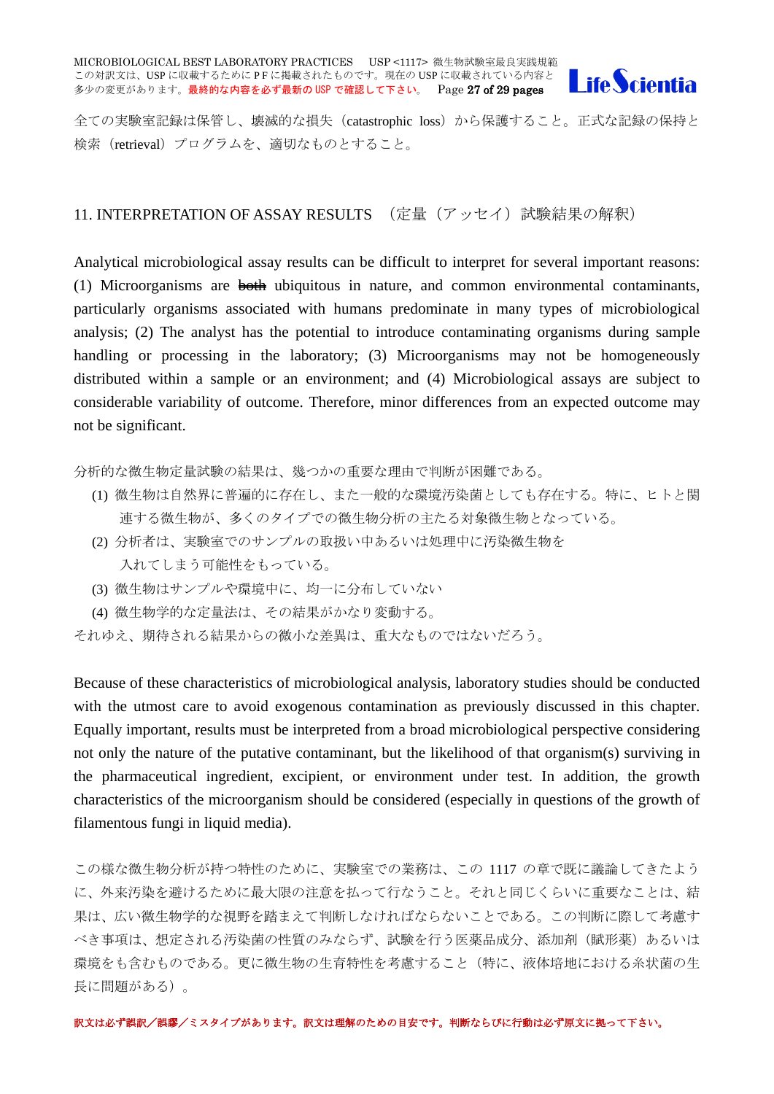

全ての実験室記録は保管し、壊滅的な損失(catastrophic loss)から保護すること。正式な記録の保持と 検索(retrieval)プログラムを、適切なものとすること。

#### <span id="page-26-0"></span>11. INTERPRETATION OF ASSAY RESULTS (定量(アッセイ)試験結果の解釈)

Analytical microbiological assay results can be difficult to interpret for several important reasons: (1) Microorganisms are both ubiquitous in nature, and common environmental contaminants, particularly organisms associated with humans predominate in many types of microbiological analysis; (2) The analyst has the potential to introduce contaminating organisms during sample handling or processing in the laboratory; (3) Microorganisms may not be homogeneously distributed within a sample or an environment; and (4) Microbiological assays are subject to considerable variability of outcome. Therefore, minor differences from an expected outcome may not be significant.

分析的な微生物定量試験の結果は、幾つかの重要な理由で判断が困難である。

- (1) 微生物は自然界に普遍的に存在し、また一般的な環境汚染菌としても存在する。特に、ヒトと関 連する微生物が、多くのタイプでの微生物分析の主たる対象微生物となっている。
- (2) 分析者は、実験室でのサンプルの取扱い中あるいは処理中に汚染微生物を 入れてしまう可能性をもっている。
- (3) 微生物はサンプルや環境中に、均一に分布していない
- (4) 微生物学的な定量法は、その結果がかなり変動する。
- それゆえ、期待される結果からの微小な差異は、重大なものではないだろう。

Because of these characteristics of microbiological analysis, laboratory studies should be conducted with the utmost care to avoid exogenous contamination as previously discussed in this chapter. Equally important, results must be interpreted from a broad microbiological perspective considering not only the nature of the putative contaminant, but the likelihood of that organism(s) surviving in the pharmaceutical ingredient, excipient, or environment under test. In addition, the growth characteristics of the microorganism should be considered (especially in questions of the growth of filamentous fungi in liquid media).

この様な微生物分析が持つ特性のために、実験室での業務は、この 1117 の章で既に議論してきたよう に、外来汚染を避けるために最大限の注意を払って行なうこと。それと同じくらいに重要なことは、結 果は、広い微生物学的な視野を踏まえて判断しなければならないことである。この判断に際して考慮す べき事項は、想定される汚染菌の性質のみならず、試験を行う医薬品成分、添加剤(賦形薬)あるいは 環境をも含むものである。更に微生物の生育特性を考慮すること(特に、液体培地における糸状菌の生 長に問題がある)。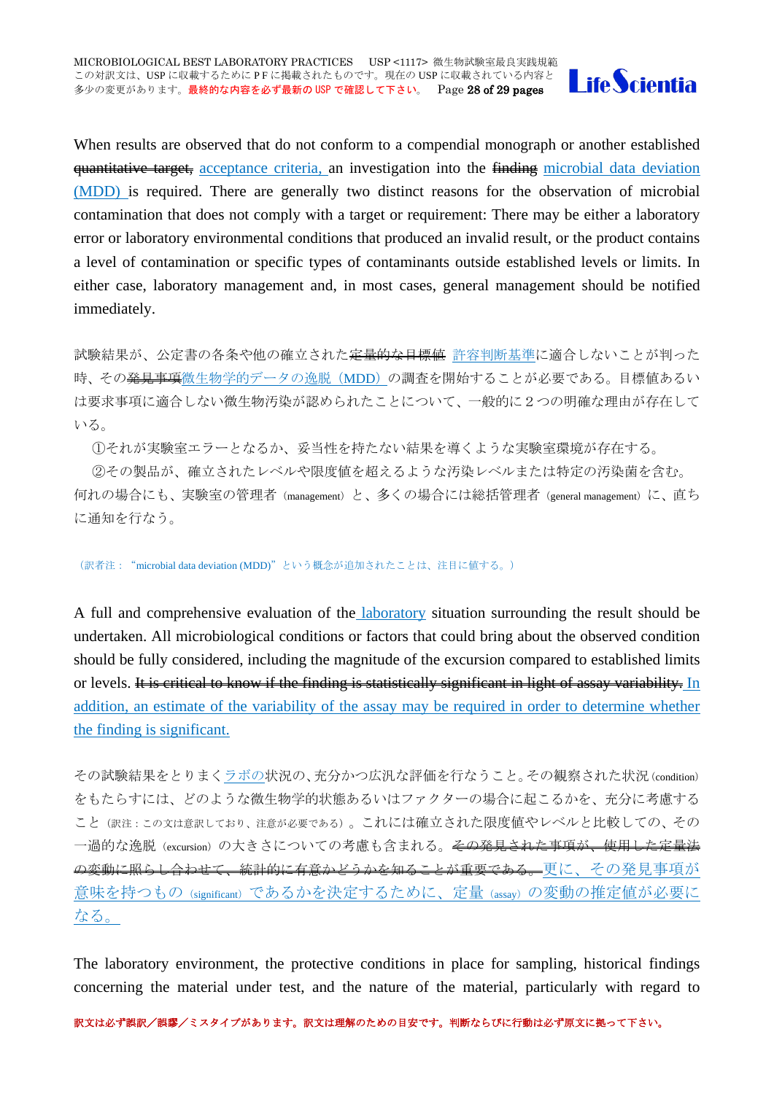

When results are observed that do not conform to a compendial monograph or another established quantitative target, acceptance criteria, an investigation into the finding microbial data deviation (MDD) is required. There are generally two distinct reasons for the observation of microbial contamination that does not comply with a target or requirement: There may be either a laboratory error or laboratory environmental conditions that produced an invalid result, or the product contains a level of contamination or specific types of contaminants outside established levels or limits. In either case, laboratory management and, in most cases, general management should be notified immediately.

試験結果が、公定書の各条や他の確立された<del>定量的な目標値</del>許容判断基準に適合しないことが判った 時、その<del>発見事項</del>微生物学的データの逸脱(MDD)の調査を開始することが必要である。目標値あるい は要求事項に適合しない微生物汚染が認められたことについて、一般的に2つの明確な理由が存在して いる。

①それが実験室エラーとなるか、妥当性を持たない結果を導くような実験室環境が存在する。

②その製品が、確立されたレベルや限度値を超えるような汚染レベルまたは特定の汚染菌を含む。 何れの場合にも、実験室の管理者(management)と、多くの場合には総括管理者(general management)に、直ち に通知を行なう。

(訳者注:"microbial data deviation (MDD)"という概念が追加されたことは、注目に値する。)

A full and comprehensive evaluation of the laboratory situation surrounding the result should be undertaken. All microbiological conditions or factors that could bring about the observed condition should be fully considered, including the magnitude of the excursion compared to established limits or levels. It is critical to know if the finding is statistically significant in light of assay variability. In addition, an estimate of the variability of the assay may be required in order to determine whether the finding is significant.

その試験結果をとりまくラボの状況の、充分かつ広汎な評価を行なうこと。その観察された状況(condition) をもたらすには、どのような微生物学的状態あるいはファクターの場合に起こるかを、充分に考慮する こと(訳注:この文は意訳しており、注意が必要である)。これには確立された限度値やレベルと比較しての、その 一過的な逸脱(excursion)の大きさについての考慮も含まれる。<del>その発見された事項が、使用した定量法</del> の変動に照らし合わせて、統計的に有意かどうかを知ることが重要である。更に、その発見事項が 意味を持つもの(significant)であるかを決定するために、定量(assay)の変動の推定値が必要に なる。

The laboratory environment, the protective conditions in place for sampling, historical findings concerning the material under test, and the nature of the material, particularly with regard to